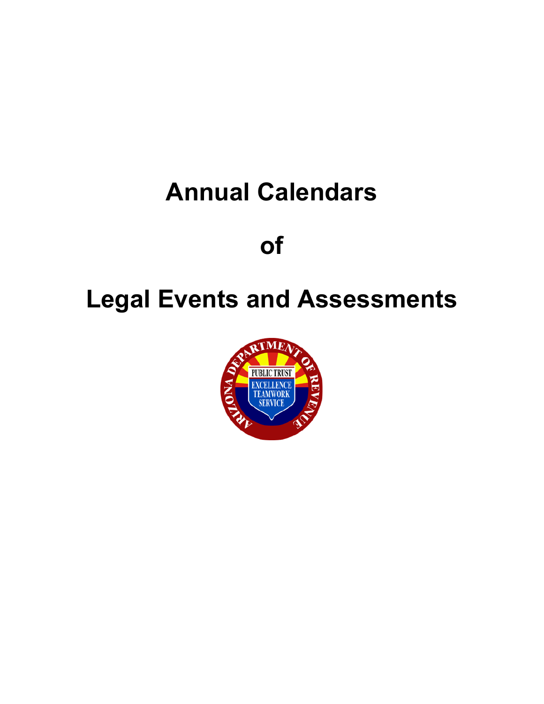## **Annual Calendars**

**of**

# **Legal Events and Assessments**

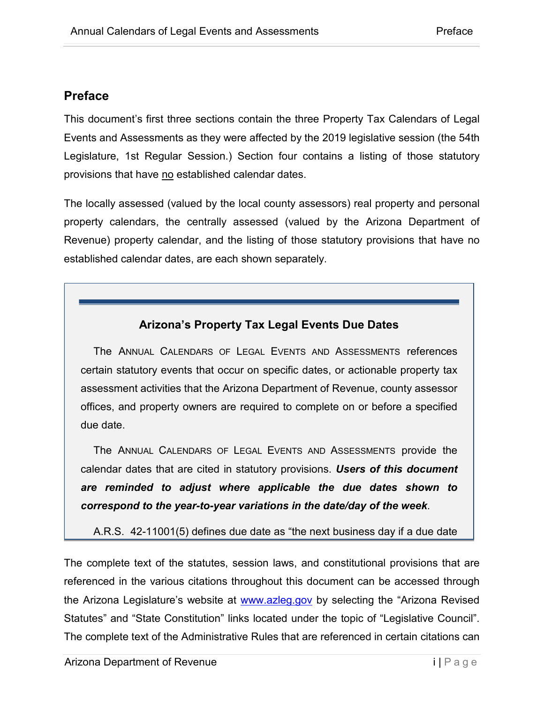#### <span id="page-1-0"></span>**Preface**

This document's first three sections contain the three Property Tax Calendars of Legal Events and Assessments as they were affected by the 2019 legislative session (the 54th Legislature, 1st Regular Session.) Section four contains a listing of those statutory provisions that have no established calendar dates.

The locally assessed (valued by the local county assessors) real property and personal property calendars, the centrally assessed (valued by the Arizona Department of Revenue) property calendar, and the listing of those statutory provisions that have no established calendar dates, are each shown separately.

#### **Arizona's Property Tax Legal Events Due Dates**

The ANNUAL CALENDARS OF LEGAL EVENTS AND ASSESSMENTS references certain statutory events that occur on specific dates, or actionable property tax assessment activities that the Arizona Department of Revenue, county assessor offices, and property owners are required to complete on or before a specified due date.

The ANNUAL CALENDARS OF LEGAL EVENTS AND ASSESSMENTS provide the calendar dates that are cited in statutory provisions. *Users of this document are reminded to adjust where applicable the due dates shown to correspond to the year-to-year variations in the date/day of the week*.

A.R.S. 42-11001(5) defines due date as "the next business day if a due date

The complete text of the statutes, session laws, and constitutional provisions that are referenced in the various citations throughout this document can be accessed through the Arizona Legislature's website at [www.azleg.gov](http://www.azleg.gov/) by selecting the "Arizona Revised Statutes" and "State Constitution" links located under the topic of "Legislative Council". The complete text of the Administrative Rules that are referenced in certain citations can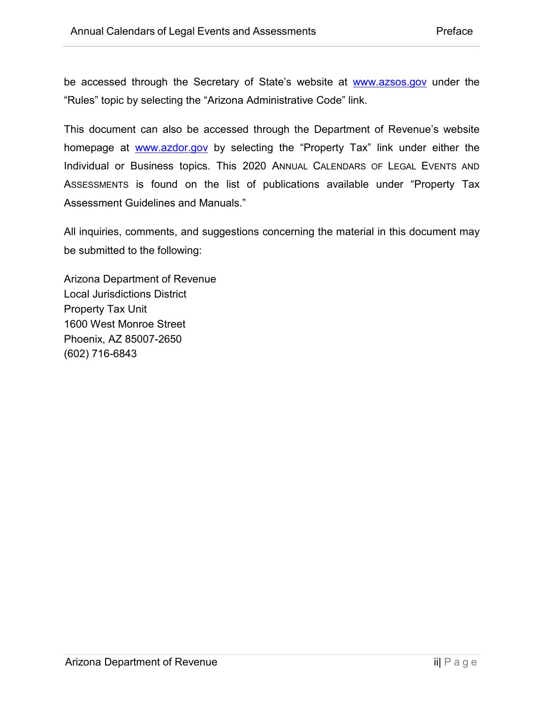be accessed through the Secretary of State's website at **[www.azsos.gov](http://www.azsos.gov/)** under the "Rules" topic by selecting the "Arizona Administrative Code" link.

This document can also be accessed through the Department of Revenue's website homepage at [www.azdor.gov](http://www.azdor.gov/) by selecting the "Property Tax" link under either the Individual or Business topics. This 2020 ANNUAL CALENDARS OF LEGAL EVENTS AND ASSESSMENTS is found on the list of publications available under "Property Tax Assessment Guidelines and Manuals."

All inquiries, comments, and suggestions concerning the material in this document may be submitted to the following:

Arizona Department of Revenue Local Jurisdictions District Property Tax Unit 1600 West Monroe Street Phoenix, AZ 85007-2650 (602) 716-6843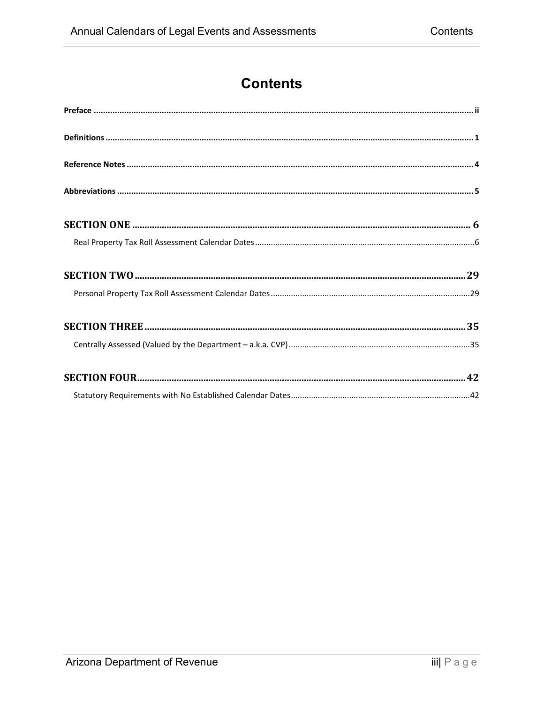## **Contents**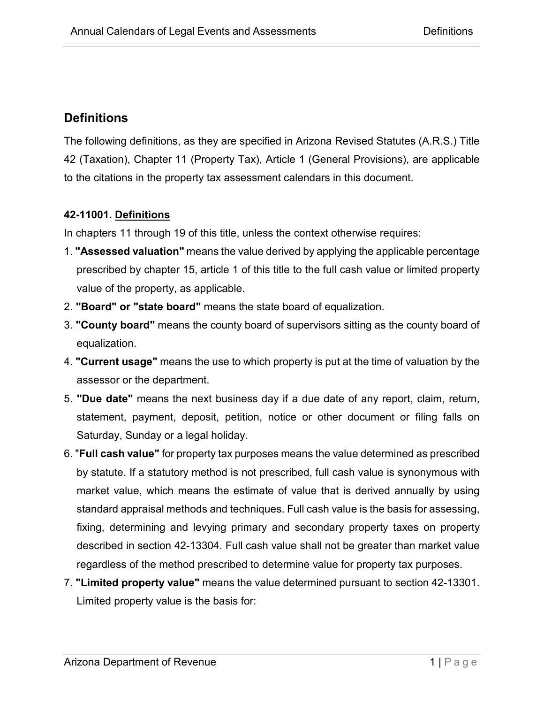#### <span id="page-4-0"></span>**Definitions**

The following definitions, as they are specified in Arizona Revised Statutes (A.R.S.) Title 42 (Taxation), Chapter 11 (Property Tax), Article 1 (General Provisions), are applicable to the citations in the property tax assessment calendars in this document.

#### **42-11001. Definitions**

In chapters 11 through 19 of this title, unless the context otherwise requires:

- 1. **"Assessed valuation"** means the value derived by applying the applicable percentage prescribed by chapter 15, article 1 of this title to the full cash value or limited property value of the property, as applicable.
- 2. **"Board" or "state board"** means the state board of equalization.
- 3. **"County board"** means the county board of supervisors sitting as the county board of equalization.
- 4. **"Current usage"** means the use to which property is put at the time of valuation by the assessor or the department.
- 5. **"Due date"** means the next business day if a due date of any report, claim, return, statement, payment, deposit, petition, notice or other document or filing falls on Saturday, Sunday or a legal holiday.
- 6. "**Full cash value"** for property tax purposes means the value determined as prescribed by statute. If a statutory method is not prescribed, full cash value is synonymous with market value, which means the estimate of value that is derived annually by using standard appraisal methods and techniques. Full cash value is the basis for assessing, fixing, determining and levying primary and secondary property taxes on property described in section 42-13304. Full cash value shall not be greater than market value regardless of the method prescribed to determine value for property tax purposes.
- 7. **"Limited property value"** means the value determined pursuant to section 42-13301. Limited property value is the basis for: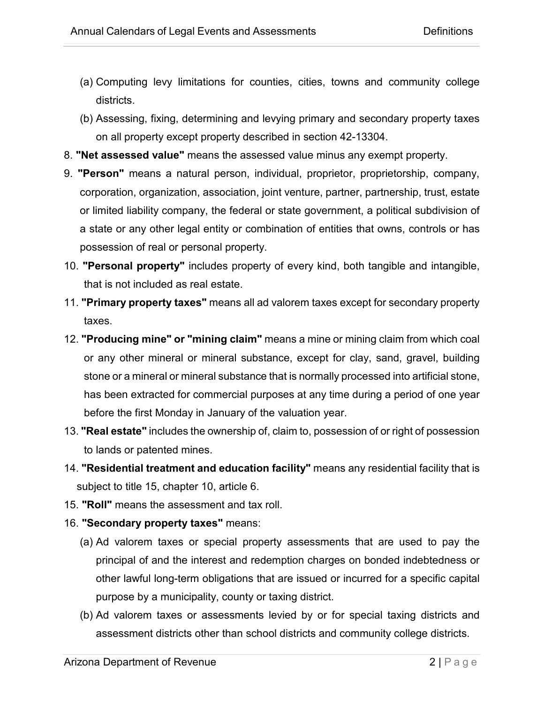- (a) Computing levy limitations for counties, cities, towns and community college districts.
- (b) Assessing, fixing, determining and levying primary and secondary property taxes on all property except property described in section 42-13304.
- 8. **"Net assessed value"** means the assessed value minus any exempt property.
- 9. **"Person"** means a natural person, individual, proprietor, proprietorship, company, corporation, organization, association, joint venture, partner, partnership, trust, estate or limited liability company, the federal or state government, a political subdivision of a state or any other legal entity or combination of entities that owns, controls or has possession of real or personal property.
- 10. **"Personal property"** includes property of every kind, both tangible and intangible, that is not included as real estate.
- 11. **"Primary property taxes"** means all ad valorem taxes except for secondary property taxes.
- 12. **"Producing mine" or "mining claim"** means a mine or mining claim from which coal or any other mineral or mineral substance, except for clay, sand, gravel, building stone or a mineral or mineral substance that is normally processed into artificial stone, has been extracted for commercial purposes at any time during a period of one year before the first Monday in January of the valuation year.
- 13. **"Real estate"** includes the ownership of, claim to, possession of or right of possession to lands or patented mines.
- 14. **"Residential treatment and education facility"** means any residential facility that is subject to title 15, chapter 10, article 6.
- 15. **"Roll"** means the assessment and tax roll.
- 16. **"Secondary property taxes"** means:
	- (a) Ad valorem taxes or special property assessments that are used to pay the principal of and the interest and redemption charges on bonded indebtedness or other lawful long-term obligations that are issued or incurred for a specific capital purpose by a municipality, county or taxing district.
	- (b) Ad valorem taxes or assessments levied by or for special taxing districts and assessment districts other than school districts and community college districts.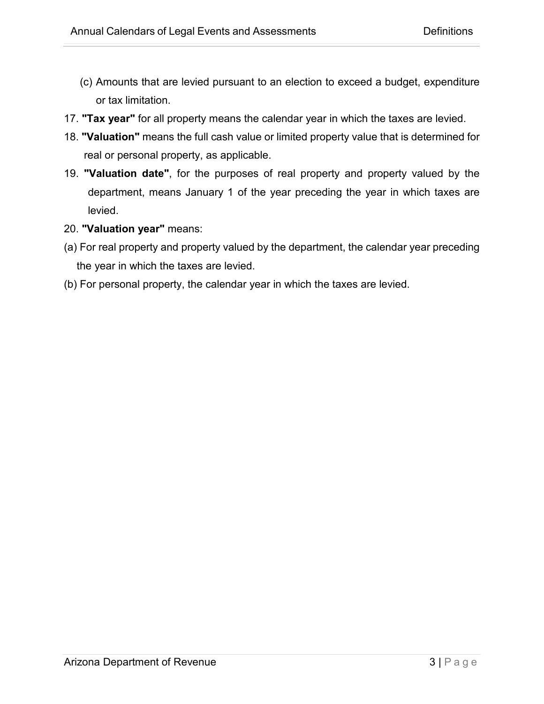- (c) Amounts that are levied pursuant to an election to exceed a budget, expenditure or tax limitation.
- 17. **"Tax year"** for all property means the calendar year in which the taxes are levied.
- 18. **"Valuation"** means the full cash value or limited property value that is determined for real or personal property, as applicable.
- 19. **"Valuation date"**, for the purposes of real property and property valued by the department, means January 1 of the year preceding the year in which taxes are levied.
- 20. **"Valuation year"** means:
- (a) For real property and property valued by the department, the calendar year preceding the year in which the taxes are levied.
- (b) For personal property, the calendar year in which the taxes are levied.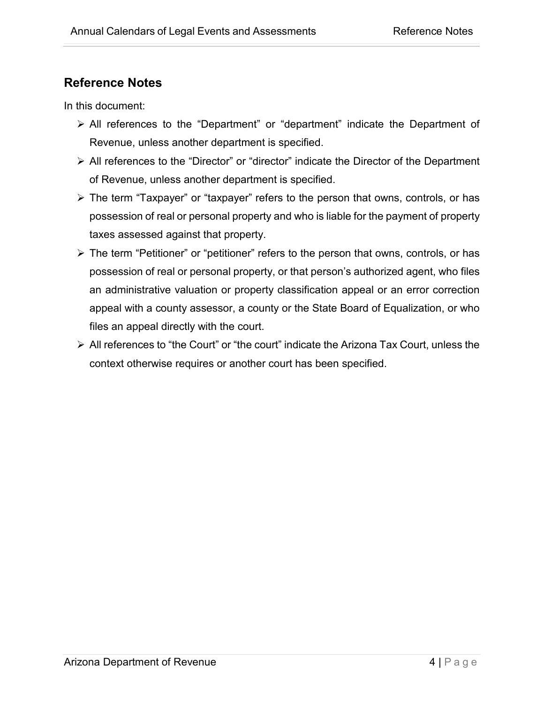#### <span id="page-7-0"></span>**Reference Notes**

In this document:

- All references to the "Department" or "department" indicate the Department of Revenue, unless another department is specified.
- All references to the "Director" or "director" indicate the Director of the Department of Revenue, unless another department is specified.
- The term "Taxpayer" or "taxpayer" refers to the person that owns, controls, or has possession of real or personal property and who is liable for the payment of property taxes assessed against that property.
- The term "Petitioner" or "petitioner" refers to the person that owns, controls, or has possession of real or personal property, or that person's authorized agent, who files an administrative valuation or property classification appeal or an error correction appeal with a county assessor, a county or the State Board of Equalization, or who files an appeal directly with the court.
- $\triangleright$  All references to "the Court" or "the court" indicate the Arizona Tax Court, unless the context otherwise requires or another court has been specified.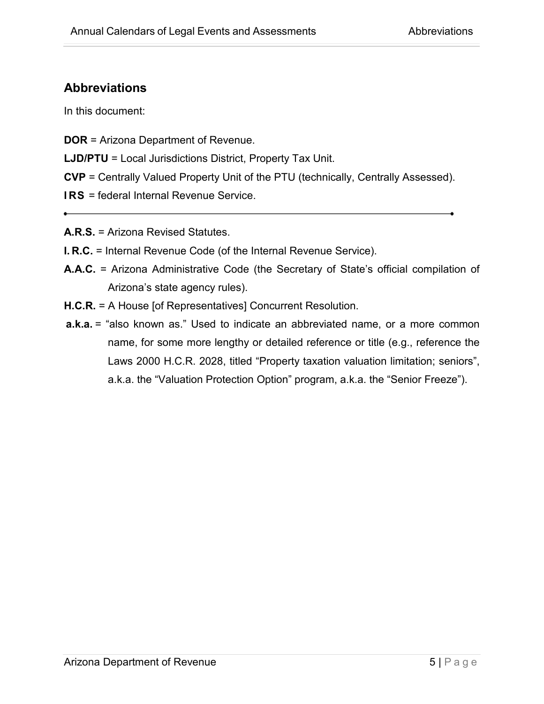#### <span id="page-8-0"></span>**Abbreviations**

In this document:

- **DOR** = Arizona Department of Revenue.
- **LJD/PTU** = Local Jurisdictions District, Property Tax Unit.
- **CVP** = Centrally Valued Property Unit of the PTU (technically, Centrally Assessed).
- **I RS** = federal Internal Revenue Service.
- **A.R.S.** = Arizona Revised Statutes.
- **I. R.C.** = Internal Revenue Code (of the Internal Revenue Service).
- **A.A.C.** = Arizona Administrative Code (the Secretary of State's official compilation of Arizona's state agency rules).
- **H.C.R.** = A House [of Representatives] Concurrent Resolution.
- **a.k.a.** = "also known as." Used to indicate an abbreviated name, or a more common name, for some more lengthy or detailed reference or title (e.g., reference the Laws 2000 H.C.R. 2028, titled "Property taxation valuation limitation; seniors", a.k.a. the "Valuation Protection Option" program, a.k.a. the "Senior Freeze").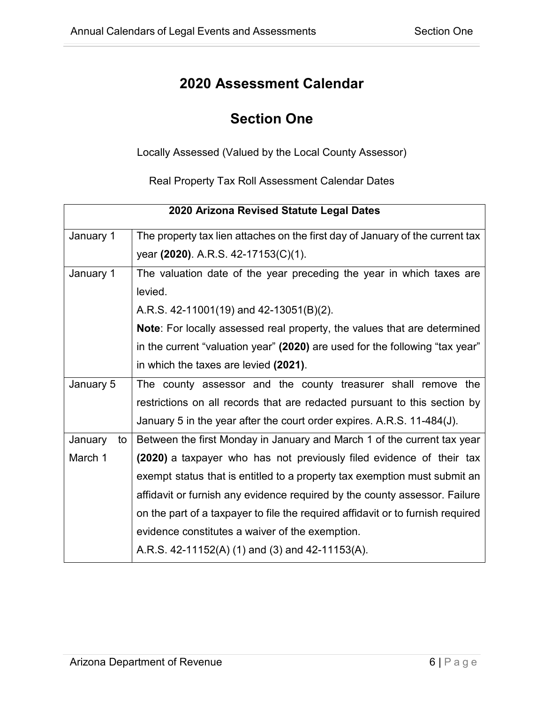## **Section One**

<span id="page-9-0"></span>Locally Assessed (Valued by the Local County Assessor)

Real Property Tax Roll Assessment Calendar Dates

<span id="page-9-1"></span>

|               | 2020 Arizona Revised Statute Legal Dates                                        |
|---------------|---------------------------------------------------------------------------------|
| January 1     | The property tax lien attaches on the first day of January of the current tax   |
|               | year (2020). A.R.S. 42-17153(C)(1).                                             |
| January 1     | The valuation date of the year preceding the year in which taxes are            |
|               | levied.                                                                         |
|               | A.R.S. 42-11001(19) and 42-13051(B)(2).                                         |
|               | Note: For locally assessed real property, the values that are determined        |
|               | in the current "valuation year" (2020) are used for the following "tax year"    |
|               | in which the taxes are levied (2021).                                           |
| January 5     | The county assessor and the county treasurer shall remove the                   |
|               | restrictions on all records that are redacted pursuant to this section by       |
|               | January 5 in the year after the court order expires. A.R.S. 11-484(J).          |
| January<br>to | Between the first Monday in January and March 1 of the current tax year         |
| March 1       | (2020) a taxpayer who has not previously filed evidence of their tax            |
|               | exempt status that is entitled to a property tax exemption must submit an       |
|               | affidavit or furnish any evidence required by the county assessor. Failure      |
|               | on the part of a taxpayer to file the required affidavit or to furnish required |
|               | evidence constitutes a waiver of the exemption.                                 |
|               | A.R.S. 42-11152(A) (1) and (3) and 42-11153(A).                                 |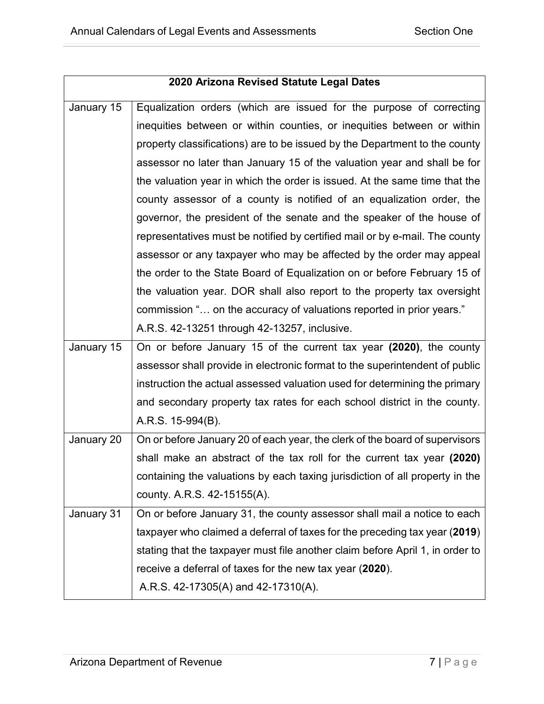| 2020 Arizona Revised Statute Legal Dates |                                                                               |  |
|------------------------------------------|-------------------------------------------------------------------------------|--|
| January 15                               | Equalization orders (which are issued for the purpose of correcting           |  |
|                                          | inequities between or within counties, or inequities between or within        |  |
|                                          | property classifications) are to be issued by the Department to the county    |  |
|                                          | assessor no later than January 15 of the valuation year and shall be for      |  |
|                                          | the valuation year in which the order is issued. At the same time that the    |  |
|                                          | county assessor of a county is notified of an equalization order, the         |  |
|                                          | governor, the president of the senate and the speaker of the house of         |  |
|                                          | representatives must be notified by certified mail or by e-mail. The county   |  |
|                                          | assessor or any taxpayer who may be affected by the order may appeal          |  |
|                                          | the order to the State Board of Equalization on or before February 15 of      |  |
|                                          | the valuation year. DOR shall also report to the property tax oversight       |  |
|                                          | commission " on the accuracy of valuations reported in prior years."          |  |
|                                          | A.R.S. 42-13251 through 42-13257, inclusive.                                  |  |
| January 15                               | On or before January 15 of the current tax year (2020), the county            |  |
|                                          | assessor shall provide in electronic format to the superintendent of public   |  |
|                                          | instruction the actual assessed valuation used for determining the primary    |  |
|                                          | and secondary property tax rates for each school district in the county.      |  |
|                                          | A.R.S. 15-994(B).                                                             |  |
| January 20                               | On or before January 20 of each year, the clerk of the board of supervisors   |  |
|                                          | shall make an abstract of the tax roll for the current tax year (2020)        |  |
|                                          | containing the valuations by each taxing jurisdiction of all property in the  |  |
|                                          | county. A.R.S. 42-15155(A).                                                   |  |
| January 31                               | On or before January 31, the county assessor shall mail a notice to each      |  |
|                                          | taxpayer who claimed a deferral of taxes for the preceding tax year (2019)    |  |
|                                          | stating that the taxpayer must file another claim before April 1, in order to |  |
|                                          | receive a deferral of taxes for the new tax year (2020).                      |  |
|                                          | A.R.S. 42-17305(A) and 42-17310(A).                                           |  |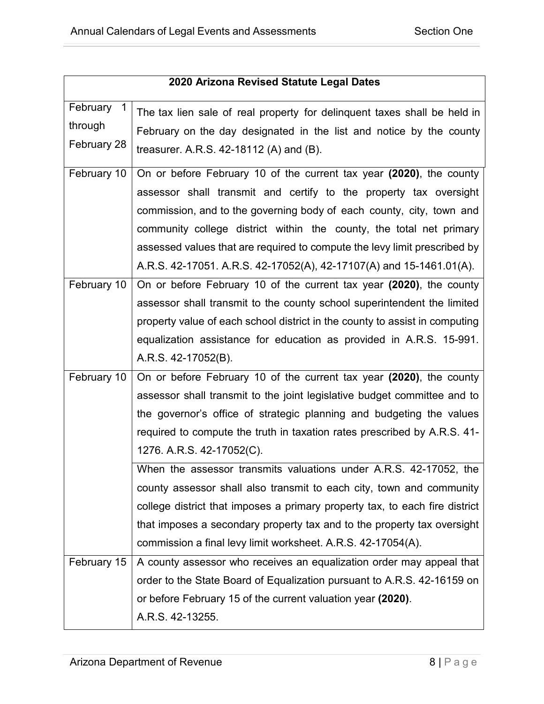|                                      | 2020 Arizona Revised Statute Legal Dates                                                                                                                                                                                                                                                                                                                                                                                                                                                                                                                                                                                                                                                                |
|--------------------------------------|---------------------------------------------------------------------------------------------------------------------------------------------------------------------------------------------------------------------------------------------------------------------------------------------------------------------------------------------------------------------------------------------------------------------------------------------------------------------------------------------------------------------------------------------------------------------------------------------------------------------------------------------------------------------------------------------------------|
| February 1<br>through<br>February 28 | The tax lien sale of real property for delinguent taxes shall be held in<br>February on the day designated in the list and notice by the county<br>treasurer. A.R.S. 42-18112 (A) and (B).                                                                                                                                                                                                                                                                                                                                                                                                                                                                                                              |
| February 10                          | On or before February 10 of the current tax year (2020), the county<br>assessor shall transmit and certify to the property tax oversight<br>commission, and to the governing body of each county, city, town and<br>community college district within the county, the total net primary<br>assessed values that are required to compute the levy limit prescribed by<br>A.R.S. 42-17051. A.R.S. 42-17052(A), 42-17107(A) and 15-1461.01(A).                                                                                                                                                                                                                                                             |
| February 10                          | On or before February 10 of the current tax year (2020), the county<br>assessor shall transmit to the county school superintendent the limited<br>property value of each school district in the county to assist in computing<br>equalization assistance for education as provided in A.R.S. 15-991.<br>A.R.S. 42-17052(B).                                                                                                                                                                                                                                                                                                                                                                             |
| February 10                          | On or before February 10 of the current tax year (2020), the county<br>assessor shall transmit to the joint legislative budget committee and to<br>the governor's office of strategic planning and budgeting the values<br>required to compute the truth in taxation rates prescribed by A.R.S. 41-<br>1276. A.R.S. 42-17052(C).<br>When the assessor transmits valuations under A.R.S. 42-17052, the<br>county assessor shall also transmit to each city, town and community<br>college district that imposes a primary property tax, to each fire district<br>that imposes a secondary property tax and to the property tax oversight<br>commission a final levy limit worksheet. A.R.S. 42-17054(A). |
| February 15                          | A county assessor who receives an equalization order may appeal that<br>order to the State Board of Equalization pursuant to A.R.S. 42-16159 on<br>or before February 15 of the current valuation year (2020).<br>A.R.S. 42-13255.                                                                                                                                                                                                                                                                                                                                                                                                                                                                      |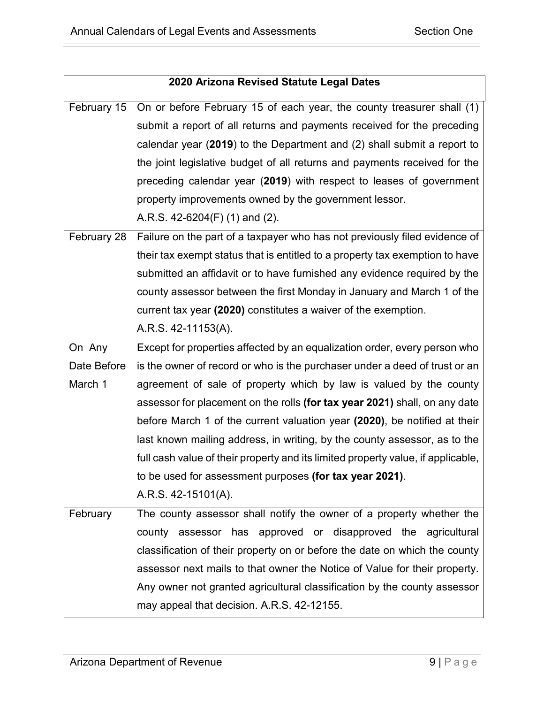| 2020 Arizona Revised Statute Legal Dates |                                                                                  |  |
|------------------------------------------|----------------------------------------------------------------------------------|--|
| February 15                              | On or before February 15 of each year, the county treasurer shall (1)            |  |
|                                          | submit a report of all returns and payments received for the preceding           |  |
|                                          | calendar year $(2019)$ to the Department and $(2)$ shall submit a report to      |  |
|                                          |                                                                                  |  |
|                                          | the joint legislative budget of all returns and payments received for the        |  |
|                                          | preceding calendar year (2019) with respect to leases of government              |  |
|                                          | property improvements owned by the government lessor.                            |  |
|                                          | A.R.S. $42-6204(F)$ (1) and (2).                                                 |  |
| February 28                              | Failure on the part of a taxpayer who has not previously filed evidence of       |  |
|                                          | their tax exempt status that is entitled to a property tax exemption to have     |  |
|                                          | submitted an affidavit or to have furnished any evidence required by the         |  |
|                                          | county assessor between the first Monday in January and March 1 of the           |  |
|                                          | current tax year (2020) constitutes a waiver of the exemption.                   |  |
|                                          | A.R.S. 42-11153(A).                                                              |  |
| On Any                                   | Except for properties affected by an equalization order, every person who        |  |
| Date Before                              | is the owner of record or who is the purchaser under a deed of trust or an       |  |
| March 1                                  | agreement of sale of property which by law is valued by the county               |  |
|                                          | assessor for placement on the rolls (for tax year 2021) shall, on any date       |  |
|                                          | before March 1 of the current valuation year (2020), be notified at their        |  |
|                                          | last known mailing address, in writing, by the county assessor, as to the        |  |
|                                          | full cash value of their property and its limited property value, if applicable, |  |
|                                          | to be used for assessment purposes (for tax year 2021).                          |  |
|                                          | A.R.S. 42-15101(A).                                                              |  |
| February                                 | The county assessor shall notify the owner of a property whether the             |  |
|                                          | county assessor has approved or disapproved the agricultural                     |  |
|                                          | classification of their property on or before the date on which the county       |  |
|                                          | assessor next mails to that owner the Notice of Value for their property.        |  |
|                                          | Any owner not granted agricultural classification by the county assessor         |  |
|                                          | may appeal that decision. A.R.S. 42-12155.                                       |  |
|                                          |                                                                                  |  |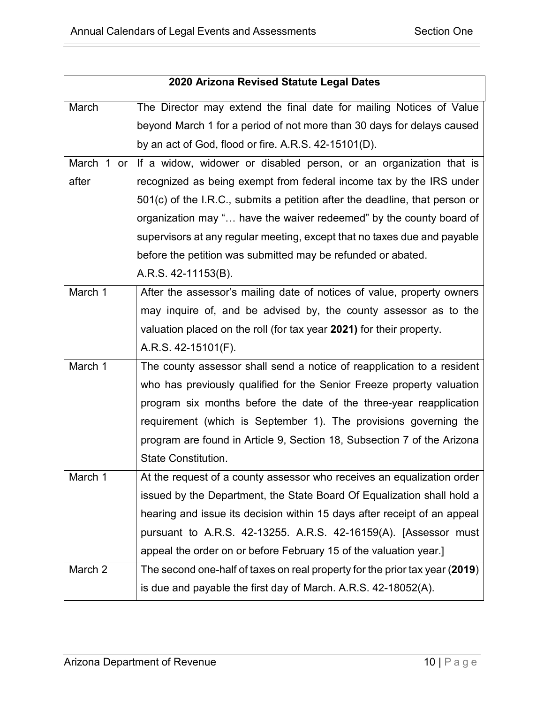|            | 2020 Arizona Revised Statute Legal Dates                                    |
|------------|-----------------------------------------------------------------------------|
| March      | The Director may extend the final date for mailing Notices of Value         |
|            | beyond March 1 for a period of not more than 30 days for delays caused      |
|            | by an act of God, flood or fire. A.R.S. 42-15101(D).                        |
| March 1 or | If a widow, widower or disabled person, or an organization that is          |
| after      | recognized as being exempt from federal income tax by the IRS under         |
|            | 501(c) of the I.R.C., submits a petition after the deadline, that person or |
|            | organization may " have the waiver redeemed" by the county board of         |
|            | supervisors at any regular meeting, except that no taxes due and payable    |
|            | before the petition was submitted may be refunded or abated.                |
|            | A.R.S. 42-11153(B).                                                         |
| March 1    | After the assessor's mailing date of notices of value, property owners      |
|            | may inquire of, and be advised by, the county assessor as to the            |
|            | valuation placed on the roll (for tax year 2021) for their property.        |
|            | A.R.S. 42-15101(F).                                                         |
| March 1    | The county assessor shall send a notice of reapplication to a resident      |
|            | who has previously qualified for the Senior Freeze property valuation       |
|            | program six months before the date of the three-year reapplication          |
|            | requirement (which is September 1). The provisions governing the            |
|            | program are found in Article 9, Section 18, Subsection 7 of the Arizona     |
|            | <b>State Constitution.</b>                                                  |
| March 1    | At the request of a county assessor who receives an equalization order      |
|            | issued by the Department, the State Board Of Equalization shall hold a      |
|            | hearing and issue its decision within 15 days after receipt of an appeal    |
|            | pursuant to A.R.S. 42-13255. A.R.S. 42-16159(A). [Assessor must             |
|            | appeal the order on or before February 15 of the valuation year.]           |
| March 2    | The second one-half of taxes on real property for the prior tax year (2019) |
|            | is due and payable the first day of March. A.R.S. 42-18052(A).              |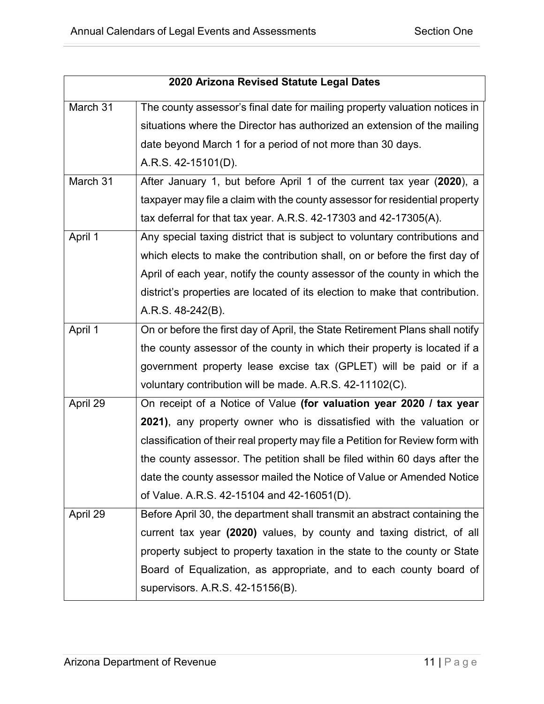|          | 2020 Arizona Revised Statute Legal Dates                                       |
|----------|--------------------------------------------------------------------------------|
| March 31 | The county assessor's final date for mailing property valuation notices in     |
|          | situations where the Director has authorized an extension of the mailing       |
|          | date beyond March 1 for a period of not more than 30 days.                     |
|          | A.R.S. 42-15101(D).                                                            |
| March 31 | After January 1, but before April 1 of the current tax year (2020), a          |
|          | taxpayer may file a claim with the county assessor for residential property    |
|          | tax deferral for that tax year. A.R.S. 42-17303 and 42-17305(A).               |
| April 1  | Any special taxing district that is subject to voluntary contributions and     |
|          | which elects to make the contribution shall, on or before the first day of     |
|          | April of each year, notify the county assessor of the county in which the      |
|          | district's properties are located of its election to make that contribution.   |
|          | A.R.S. 48-242(B).                                                              |
| April 1  | On or before the first day of April, the State Retirement Plans shall notify   |
|          | the county assessor of the county in which their property is located if a      |
|          | government property lease excise tax (GPLET) will be paid or if a              |
|          | voluntary contribution will be made. A.R.S. 42-11102(C).                       |
| April 29 | On receipt of a Notice of Value (for valuation year 2020 / tax year            |
|          | 2021), any property owner who is dissatisfied with the valuation or            |
|          | classification of their real property may file a Petition for Review form with |
|          | the county assessor. The petition shall be filed within 60 days after the      |
|          | date the county assessor mailed the Notice of Value or Amended Notice          |
|          | of Value. A.R.S. 42-15104 and 42-16051(D).                                     |
| April 29 | Before April 30, the department shall transmit an abstract containing the      |
|          | current tax year (2020) values, by county and taxing district, of all          |
|          | property subject to property taxation in the state to the county or State      |
|          | Board of Equalization, as appropriate, and to each county board of             |
|          | supervisors. A.R.S. 42-15156(B).                                               |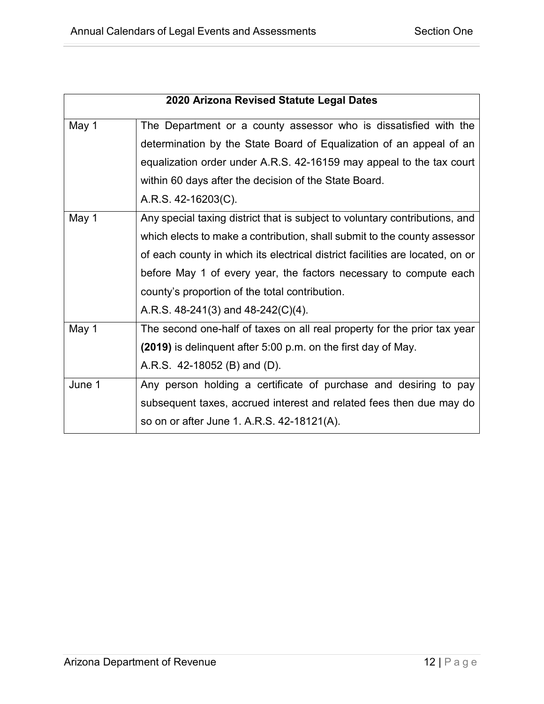|        | 2020 Arizona Revised Statute Legal Dates                                      |
|--------|-------------------------------------------------------------------------------|
| May 1  | The Department or a county assessor who is dissatisfied with the              |
|        | determination by the State Board of Equalization of an appeal of an           |
|        | equalization order under A.R.S. 42-16159 may appeal to the tax court          |
|        | within 60 days after the decision of the State Board.                         |
|        | A.R.S. 42-16203(C).                                                           |
| May 1  | Any special taxing district that is subject to voluntary contributions, and   |
|        | which elects to make a contribution, shall submit to the county assessor      |
|        | of each county in which its electrical district facilities are located, on or |
|        | before May 1 of every year, the factors necessary to compute each             |
|        | county's proportion of the total contribution.                                |
|        | A.R.S. $48-241(3)$ and $48-242(C)(4)$ .                                       |
| May 1  | The second one-half of taxes on all real property for the prior tax year      |
|        | (2019) is delinguent after 5:00 p.m. on the first day of May.                 |
|        | A.R.S. 42-18052 (B) and (D).                                                  |
| June 1 | Any person holding a certificate of purchase and desiring to pay              |
|        | subsequent taxes, accrued interest and related fees then due may do           |
|        | so on or after June 1. A.R.S. 42-18121(A).                                    |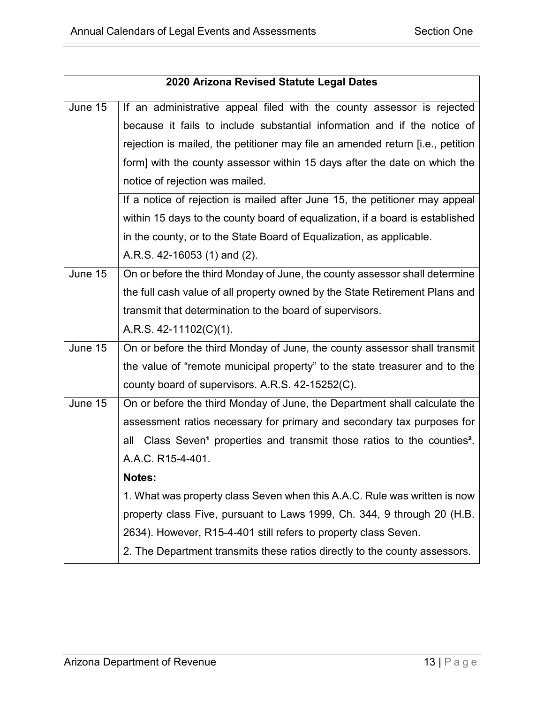| 2020 Arizona Revised Statute Legal Dates |                                                                                                     |  |
|------------------------------------------|-----------------------------------------------------------------------------------------------------|--|
| June 15                                  | If an administrative appeal filed with the county assessor is rejected                              |  |
|                                          | because it fails to include substantial information and if the notice of                            |  |
|                                          | rejection is mailed, the petitioner may file an amended return [i.e., petition                      |  |
|                                          | form] with the county assessor within 15 days after the date on which the                           |  |
|                                          | notice of rejection was mailed.                                                                     |  |
|                                          | If a notice of rejection is mailed after June 15, the petitioner may appeal                         |  |
|                                          | within 15 days to the county board of equalization, if a board is established                       |  |
|                                          | in the county, or to the State Board of Equalization, as applicable.                                |  |
|                                          | A.R.S. 42-16053 (1) and (2).                                                                        |  |
| June 15                                  | On or before the third Monday of June, the county assessor shall determine                          |  |
|                                          | the full cash value of all property owned by the State Retirement Plans and                         |  |
|                                          | transmit that determination to the board of supervisors.                                            |  |
|                                          | A.R.S. $42-11102(C)(1)$ .                                                                           |  |
| June 15                                  | On or before the third Monday of June, the county assessor shall transmit                           |  |
|                                          | the value of "remote municipal property" to the state treasurer and to the                          |  |
|                                          | county board of supervisors. A.R.S. 42-15252(C).                                                    |  |
| June 15                                  | On or before the third Monday of June, the Department shall calculate the                           |  |
|                                          | assessment ratios necessary for primary and secondary tax purposes for                              |  |
|                                          | Class Seven <sup>1</sup> properties and transmit those ratios to the counties <sup>2</sup> .<br>all |  |
|                                          | A.A.C. R15-4-401.                                                                                   |  |
|                                          | Notes:                                                                                              |  |
|                                          | 1. What was property class Seven when this A.A.C. Rule was written is now                           |  |
|                                          | property class Five, pursuant to Laws 1999, Ch. 344, 9 through 20 (H.B.                             |  |
|                                          | 2634). However, R15-4-401 still refers to property class Seven.                                     |  |
|                                          | 2. The Department transmits these ratios directly to the county assessors.                          |  |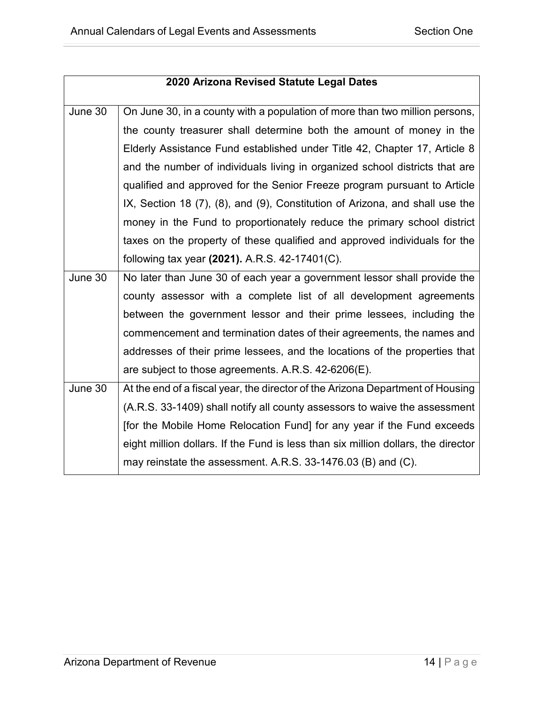| 2020 Arizona Revised Statute Legal Dates |                                                                                   |
|------------------------------------------|-----------------------------------------------------------------------------------|
|                                          |                                                                                   |
| June 30                                  | On June 30, in a county with a population of more than two million persons,       |
|                                          | the county treasurer shall determine both the amount of money in the              |
|                                          | Elderly Assistance Fund established under Title 42, Chapter 17, Article 8         |
|                                          | and the number of individuals living in organized school districts that are       |
|                                          | qualified and approved for the Senior Freeze program pursuant to Article          |
|                                          | IX, Section 18 (7), (8), and (9), Constitution of Arizona, and shall use the      |
|                                          | money in the Fund to proportionately reduce the primary school district           |
|                                          | taxes on the property of these qualified and approved individuals for the         |
|                                          | following tax year (2021). A.R.S. 42-17401(C).                                    |
| June 30                                  | No later than June 30 of each year a government lessor shall provide the          |
|                                          | county assessor with a complete list of all development agreements                |
|                                          | between the government lessor and their prime lessees, including the              |
|                                          | commencement and termination dates of their agreements, the names and             |
|                                          | addresses of their prime lessees, and the locations of the properties that        |
|                                          | are subject to those agreements. A.R.S. 42-6206(E).                               |
| June 30                                  | At the end of a fiscal year, the director of the Arizona Department of Housing    |
|                                          | (A.R.S. 33-1409) shall notify all county assessors to waive the assessment        |
|                                          | [for the Mobile Home Relocation Fund] for any year if the Fund exceeds            |
|                                          | eight million dollars. If the Fund is less than six million dollars, the director |
|                                          | may reinstate the assessment. A.R.S. 33-1476.03 (B) and (C).                      |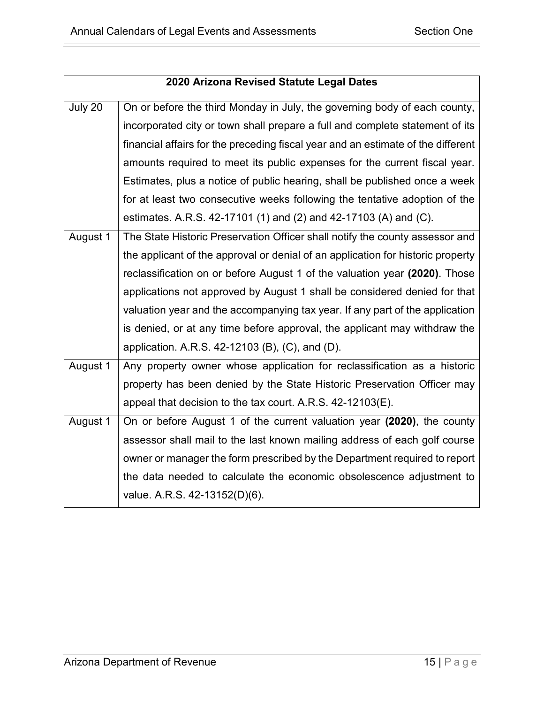|          | 2020 Arizona Revised Statute Legal Dates                                         |
|----------|----------------------------------------------------------------------------------|
| July 20  | On or before the third Monday in July, the governing body of each county,        |
|          | incorporated city or town shall prepare a full and complete statement of its     |
|          | financial affairs for the preceding fiscal year and an estimate of the different |
|          | amounts required to meet its public expenses for the current fiscal year.        |
|          | Estimates, plus a notice of public hearing, shall be published once a week       |
|          | for at least two consecutive weeks following the tentative adoption of the       |
|          | estimates. A.R.S. 42-17101 (1) and (2) and 42-17103 (A) and (C).                 |
| August 1 | The State Historic Preservation Officer shall notify the county assessor and     |
|          | the applicant of the approval or denial of an application for historic property  |
|          | reclassification on or before August 1 of the valuation year (2020). Those       |
|          | applications not approved by August 1 shall be considered denied for that        |
|          | valuation year and the accompanying tax year. If any part of the application     |
|          | is denied, or at any time before approval, the applicant may withdraw the        |
|          | application. A.R.S. 42-12103 (B), (C), and (D).                                  |
| August 1 | Any property owner whose application for reclassification as a historic          |
|          | property has been denied by the State Historic Preservation Officer may          |
|          | appeal that decision to the tax court. A.R.S. 42-12103(E).                       |
| August 1 | On or before August 1 of the current valuation year (2020), the county           |
|          | assessor shall mail to the last known mailing address of each golf course        |
|          | owner or manager the form prescribed by the Department required to report        |
|          | the data needed to calculate the economic obsolescence adjustment to             |
|          | value. A.R.S. 42-13152(D)(6).                                                    |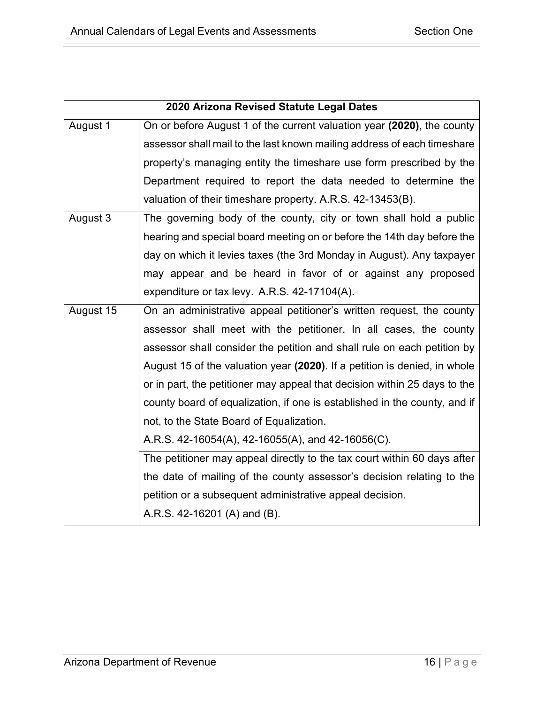|           | 2020 Arizona Revised Statute Legal Dates                                  |
|-----------|---------------------------------------------------------------------------|
| August 1  | On or before August 1 of the current valuation year (2020), the county    |
|           | assessor shall mail to the last known mailing address of each timeshare   |
|           | property's managing entity the timeshare use form prescribed by the       |
|           | Department required to report the data needed to determine the            |
|           | valuation of their timeshare property. A.R.S. 42-13453(B).                |
| August 3  | The governing body of the county, city or town shall hold a public        |
|           | hearing and special board meeting on or before the 14th day before the    |
|           | day on which it levies taxes (the 3rd Monday in August). Any taxpayer     |
|           | may appear and be heard in favor of or against any proposed               |
|           | expenditure or tax levy. A.R.S. 42-17104(A).                              |
| August 15 | On an administrative appeal petitioner's written request, the county      |
|           | assessor shall meet with the petitioner. In all cases, the county         |
|           | assessor shall consider the petition and shall rule on each petition by   |
|           | August 15 of the valuation year (2020). If a petition is denied, in whole |
|           | or in part, the petitioner may appeal that decision within 25 days to the |
|           | county board of equalization, if one is established in the county, and if |
|           | not, to the State Board of Equalization.                                  |
|           | A.R.S. 42-16054(A), 42-16055(A), and 42-16056(C).                         |
|           | The petitioner may appeal directly to the tax court within 60 days after  |
|           | the date of mailing of the county assessor's decision relating to the     |
|           | petition or a subsequent administrative appeal decision.                  |
|           | A.R.S. 42-16201 (A) and (B).                                              |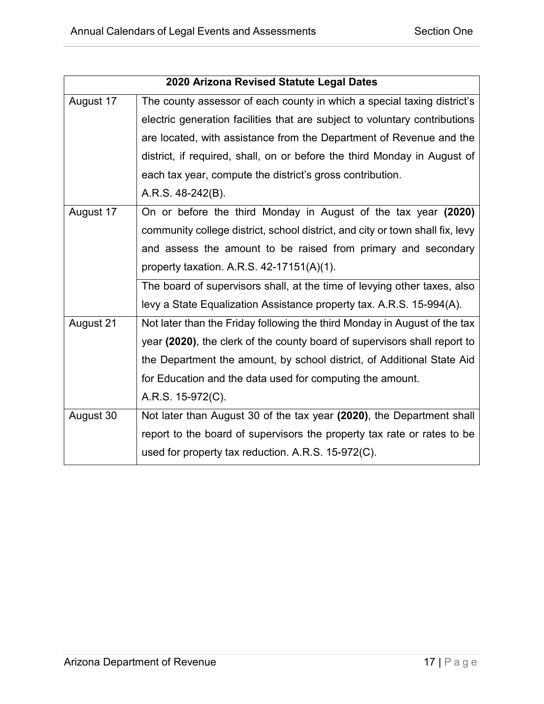| 2020 Arizona Revised Statute Legal Dates |                                                                               |
|------------------------------------------|-------------------------------------------------------------------------------|
| August 17                                | The county assessor of each county in which a special taxing district's       |
|                                          | electric generation facilities that are subject to voluntary contributions    |
|                                          | are located, with assistance from the Department of Revenue and the           |
|                                          | district, if required, shall, on or before the third Monday in August of      |
|                                          | each tax year, compute the district's gross contribution.                     |
|                                          | A.R.S. 48-242(B).                                                             |
| August 17                                | On or before the third Monday in August of the tax year (2020)                |
|                                          | community college district, school district, and city or town shall fix, levy |
|                                          | and assess the amount to be raised from primary and secondary                 |
|                                          | property taxation. A.R.S. $42-17151(A)(1)$ .                                  |
|                                          | The board of supervisors shall, at the time of levying other taxes, also      |
|                                          | levy a State Equalization Assistance property tax. A.R.S. 15-994(A).          |
| August 21                                | Not later than the Friday following the third Monday in August of the tax     |
|                                          | year (2020), the clerk of the county board of supervisors shall report to     |
|                                          | the Department the amount, by school district, of Additional State Aid        |
|                                          | for Education and the data used for computing the amount.                     |
|                                          | A.R.S. 15-972(C).                                                             |
| August 30                                | Not later than August 30 of the tax year (2020), the Department shall         |
|                                          | report to the board of supervisors the property tax rate or rates to be       |
|                                          | used for property tax reduction. A.R.S. 15-972(C).                            |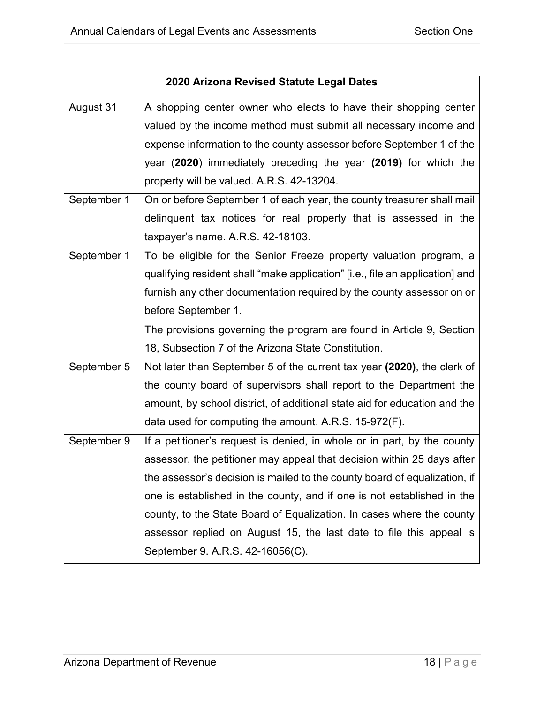| 2020 Arizona Revised Statute Legal Dates |                                                                              |
|------------------------------------------|------------------------------------------------------------------------------|
| August 31                                | A shopping center owner who elects to have their shopping center             |
|                                          | valued by the income method must submit all necessary income and             |
|                                          | expense information to the county assessor before September 1 of the         |
|                                          | year (2020) immediately preceding the year (2019) for which the              |
|                                          | property will be valued. A.R.S. 42-13204.                                    |
| September 1                              | On or before September 1 of each year, the county treasurer shall mail       |
|                                          | delinquent tax notices for real property that is assessed in the             |
|                                          | taxpayer's name. A.R.S. 42-18103.                                            |
| September 1                              | To be eligible for the Senior Freeze property valuation program, a           |
|                                          | qualifying resident shall "make application" [i.e., file an application] and |
|                                          | furnish any other documentation required by the county assessor on or        |
|                                          | before September 1.                                                          |
|                                          | The provisions governing the program are found in Article 9, Section         |
|                                          | 18, Subsection 7 of the Arizona State Constitution.                          |
| September 5                              | Not later than September 5 of the current tax year (2020), the clerk of      |
|                                          | the county board of supervisors shall report to the Department the           |
|                                          | amount, by school district, of additional state aid for education and the    |
|                                          | data used for computing the amount. A.R.S. 15-972(F).                        |
| September 9                              | If a petitioner's request is denied, in whole or in part, by the county      |
|                                          | assessor, the petitioner may appeal that decision within 25 days after       |
|                                          | the assessor's decision is mailed to the county board of equalization, if    |
|                                          | one is established in the county, and if one is not established in the       |
|                                          | county, to the State Board of Equalization. In cases where the county        |
|                                          | assessor replied on August 15, the last date to file this appeal is          |
|                                          | September 9. A.R.S. 42-16056(C).                                             |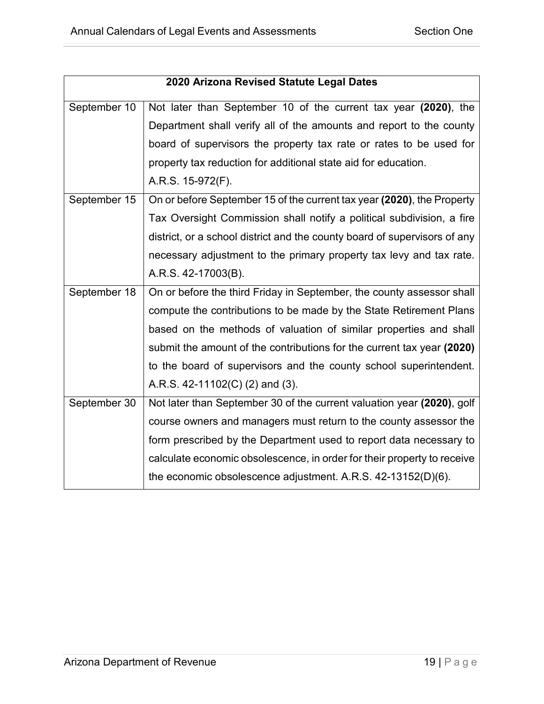| 2020 Arizona Revised Statute Legal Dates |                                                                           |
|------------------------------------------|---------------------------------------------------------------------------|
| September 10                             | Not later than September 10 of the current tax year (2020), the           |
|                                          | Department shall verify all of the amounts and report to the county       |
|                                          | board of supervisors the property tax rate or rates to be used for        |
|                                          | property tax reduction for additional state aid for education.            |
|                                          | A.R.S. 15-972(F).                                                         |
| September 15                             | On or before September 15 of the current tax year (2020), the Property    |
|                                          | Tax Oversight Commission shall notify a political subdivision, a fire     |
|                                          | district, or a school district and the county board of supervisors of any |
|                                          | necessary adjustment to the primary property tax levy and tax rate.       |
|                                          | A.R.S. 42-17003(B).                                                       |
| September 18                             | On or before the third Friday in September, the county assessor shall     |
|                                          | compute the contributions to be made by the State Retirement Plans        |
|                                          | based on the methods of valuation of similar properties and shall         |
|                                          | submit the amount of the contributions for the current tax year (2020)    |
|                                          | to the board of supervisors and the county school superintendent.         |
|                                          | A.R.S. 42-11102(C) (2) and (3).                                           |
| September 30                             | Not later than September 30 of the current valuation year (2020), golf    |
|                                          | course owners and managers must return to the county assessor the         |
|                                          | form prescribed by the Department used to report data necessary to        |
|                                          | calculate economic obsolescence, in order for their property to receive   |
|                                          | the economic obsolescence adjustment. A.R.S. 42-13152(D)(6).              |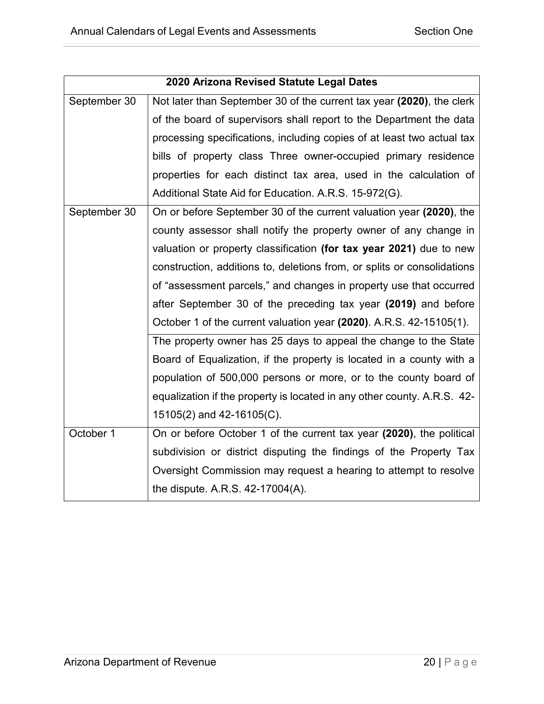| 2020 Arizona Revised Statute Legal Dates |                                                                         |
|------------------------------------------|-------------------------------------------------------------------------|
| September 30                             | Not later than September 30 of the current tax year (2020), the clerk   |
|                                          | of the board of supervisors shall report to the Department the data     |
|                                          | processing specifications, including copies of at least two actual tax  |
|                                          | bills of property class Three owner-occupied primary residence          |
|                                          | properties for each distinct tax area, used in the calculation of       |
|                                          | Additional State Aid for Education. A.R.S. 15-972(G).                   |
| September 30                             | On or before September 30 of the current valuation year (2020), the     |
|                                          | county assessor shall notify the property owner of any change in        |
|                                          | valuation or property classification (for tax year 2021) due to new     |
|                                          | construction, additions to, deletions from, or splits or consolidations |
|                                          | of "assessment parcels," and changes in property use that occurred      |
|                                          | after September 30 of the preceding tax year (2019) and before          |
|                                          | October 1 of the current valuation year (2020). A.R.S. 42-15105(1).     |
|                                          | The property owner has 25 days to appeal the change to the State        |
|                                          | Board of Equalization, if the property is located in a county with a    |
|                                          | population of 500,000 persons or more, or to the county board of        |
|                                          | equalization if the property is located in any other county. A.R.S. 42- |
|                                          | $15105(2)$ and 42-16105(C).                                             |
| October 1                                | On or before October 1 of the current tax year (2020), the political    |
|                                          | subdivision or district disputing the findings of the Property Tax      |
|                                          | Oversight Commission may request a hearing to attempt to resolve        |
|                                          | the dispute. A.R.S. 42-17004(A).                                        |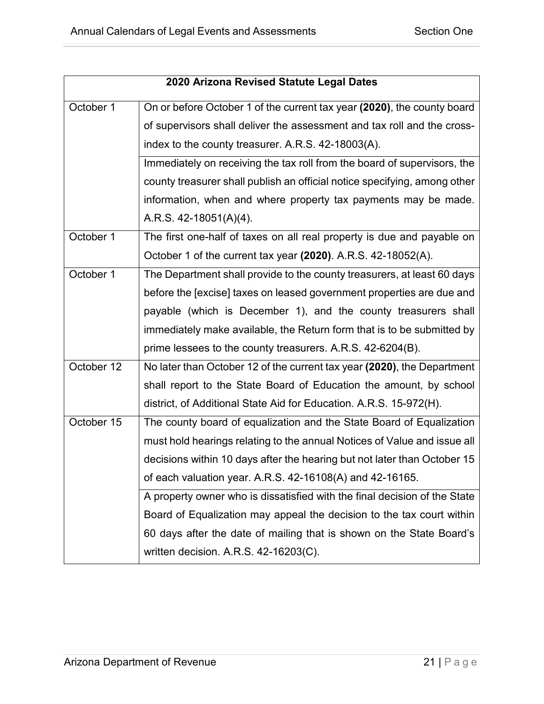| 2020 Arizona Revised Statute Legal Dates |                                                                           |
|------------------------------------------|---------------------------------------------------------------------------|
| October 1                                | On or before October 1 of the current tax year (2020), the county board   |
|                                          | of supervisors shall deliver the assessment and tax roll and the cross-   |
|                                          | index to the county treasurer. A.R.S. 42-18003(A).                        |
|                                          | Immediately on receiving the tax roll from the board of supervisors, the  |
|                                          | county treasurer shall publish an official notice specifying, among other |
|                                          | information, when and where property tax payments may be made.            |
|                                          | A.R.S. 42-18051(A)(4).                                                    |
| October 1                                | The first one-half of taxes on all real property is due and payable on    |
|                                          | October 1 of the current tax year (2020). A.R.S. 42-18052(A).             |
| October 1                                | The Department shall provide to the county treasurers, at least 60 days   |
|                                          | before the [excise] taxes on leased government properties are due and     |
|                                          | payable (which is December 1), and the county treasurers shall            |
|                                          | immediately make available, the Return form that is to be submitted by    |
|                                          | prime lessees to the county treasurers. A.R.S. 42-6204(B).                |
| October 12                               | No later than October 12 of the current tax year (2020), the Department   |
|                                          | shall report to the State Board of Education the amount, by school        |
|                                          | district, of Additional State Aid for Education. A.R.S. 15-972(H).        |
| October 15                               | The county board of equalization and the State Board of Equalization      |
|                                          | must hold hearings relating to the annual Notices of Value and issue all  |
|                                          | decisions within 10 days after the hearing but not later than October 15  |
|                                          | of each valuation year. A.R.S. 42-16108(A) and 42-16165.                  |
|                                          | A property owner who is dissatisfied with the final decision of the State |
|                                          | Board of Equalization may appeal the decision to the tax court within     |
|                                          | 60 days after the date of mailing that is shown on the State Board's      |
|                                          | written decision. A.R.S. 42-16203(C).                                     |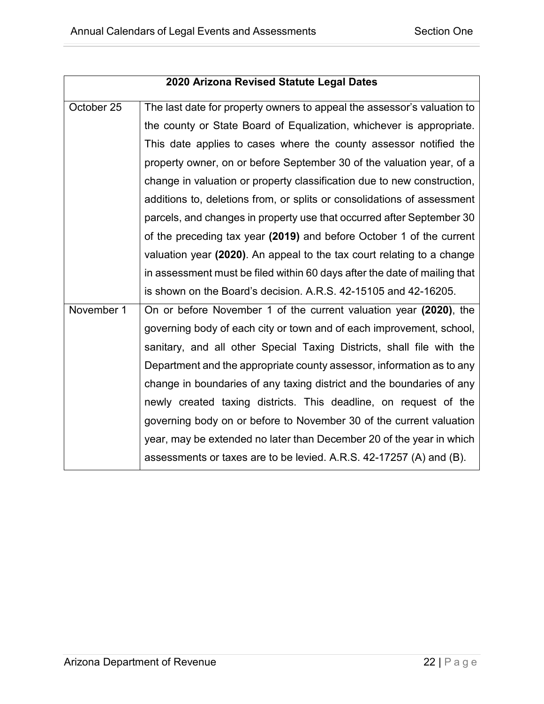| 2020 Arizona Revised Statute Legal Dates |                                                                           |
|------------------------------------------|---------------------------------------------------------------------------|
| October 25                               | The last date for property owners to appeal the assessor's valuation to   |
|                                          | the county or State Board of Equalization, whichever is appropriate.      |
|                                          | This date applies to cases where the county assessor notified the         |
|                                          | property owner, on or before September 30 of the valuation year, of a     |
|                                          | change in valuation or property classification due to new construction,   |
|                                          | additions to, deletions from, or splits or consolidations of assessment   |
|                                          | parcels, and changes in property use that occurred after September 30     |
|                                          | of the preceding tax year (2019) and before October 1 of the current      |
|                                          | valuation year (2020). An appeal to the tax court relating to a change    |
|                                          | in assessment must be filed within 60 days after the date of mailing that |
|                                          | is shown on the Board's decision. A.R.S. 42-15105 and 42-16205.           |
| November 1                               | On or before November 1 of the current valuation year (2020), the         |
|                                          | governing body of each city or town and of each improvement, school,      |
|                                          | sanitary, and all other Special Taxing Districts, shall file with the     |
|                                          | Department and the appropriate county assessor, information as to any     |
|                                          | change in boundaries of any taxing district and the boundaries of any     |
|                                          | newly created taxing districts. This deadline, on request of the          |
|                                          | governing body on or before to November 30 of the current valuation       |
|                                          | year, may be extended no later than December 20 of the year in which      |
|                                          | assessments or taxes are to be levied. A.R.S. 42-17257 (A) and (B).       |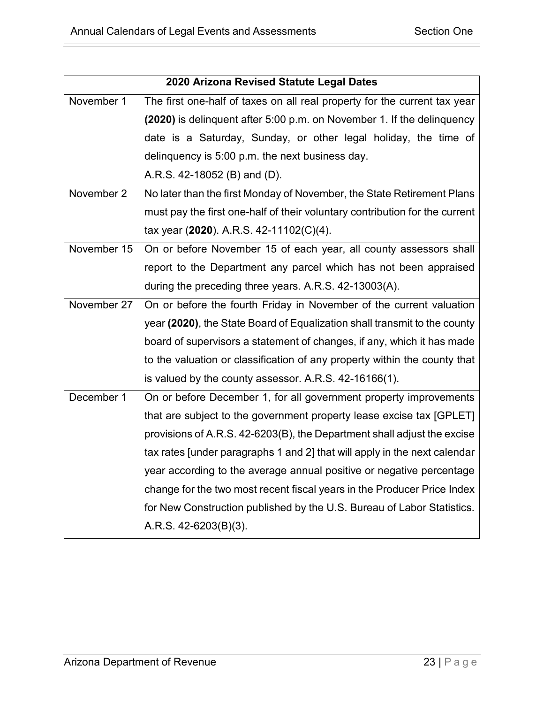| 2020 Arizona Revised Statute Legal Dates |                                                                                                    |
|------------------------------------------|----------------------------------------------------------------------------------------------------|
| November 1                               | The first one-half of taxes on all real property for the current tax year                          |
|                                          | (2020) is delinguent after 5:00 p.m. on November 1. If the delinguency                             |
|                                          | date is a Saturday, Sunday, or other legal holiday, the time of                                    |
|                                          | delinguency is 5:00 p.m. the next business day.                                                    |
|                                          | A.R.S. 42-18052 (B) and (D).                                                                       |
| November 2                               | No later than the first Monday of November, the State Retirement Plans                             |
|                                          | must pay the first one-half of their voluntary contribution for the current                        |
|                                          | tax year (2020). A.R.S. 42-11102(C)(4).                                                            |
| November 15                              | On or before November 15 of each year, all county assessors shall                                  |
|                                          | report to the Department any parcel which has not been appraised                                   |
|                                          | during the preceding three years. A.R.S. 42-13003(A).                                              |
| November 27                              | On or before the fourth Friday in November of the current valuation                                |
|                                          | year (2020), the State Board of Equalization shall transmit to the county                          |
|                                          | board of supervisors a statement of changes, if any, which it has made                             |
|                                          | to the valuation or classification of any property within the county that                          |
|                                          | is valued by the county assessor. A.R.S. 42-16166(1).                                              |
| December 1                               | On or before December 1, for all government property improvements                                  |
|                                          | that are subject to the government property lease excise tax [GPLET]                               |
|                                          | provisions of A.R.S. 42-6203(B), the Department shall adjust the excise                            |
|                                          | tax rates [under paragraphs 1 and 2] that will apply in the next calendar                          |
|                                          | year according to the average annual positive or negative percentage                               |
|                                          | change for the two most recent fiscal years in the Producer Price Index                            |
|                                          | for New Construction published by the U.S. Bureau of Labor Statistics.<br>A.R.S. $42-6203(B)(3)$ . |
|                                          |                                                                                                    |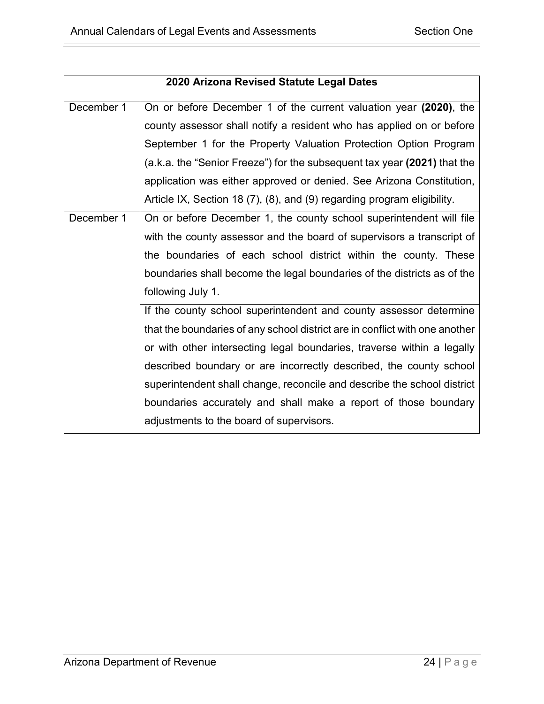| 2020 Arizona Revised Statute Legal Dates |                                                                             |
|------------------------------------------|-----------------------------------------------------------------------------|
| December 1                               | On or before December 1 of the current valuation year (2020), the           |
|                                          | county assessor shall notify a resident who has applied on or before        |
|                                          | September 1 for the Property Valuation Protection Option Program            |
|                                          | (a.k.a. the "Senior Freeze") for the subsequent tax year (2021) that the    |
|                                          | application was either approved or denied. See Arizona Constitution,        |
|                                          | Article IX, Section 18 (7), (8), and (9) regarding program eligibility.     |
| December 1                               | On or before December 1, the county school superintendent will file         |
|                                          | with the county assessor and the board of supervisors a transcript of       |
|                                          | the boundaries of each school district within the county. These             |
|                                          | boundaries shall become the legal boundaries of the districts as of the     |
|                                          | following July 1.                                                           |
|                                          | If the county school superintendent and county assessor determine           |
|                                          | that the boundaries of any school district are in conflict with one another |
|                                          | or with other intersecting legal boundaries, traverse within a legally      |
|                                          | described boundary or are incorrectly described, the county school          |
|                                          | superintendent shall change, reconcile and describe the school district     |
|                                          | boundaries accurately and shall make a report of those boundary             |
|                                          | adjustments to the board of supervisors.                                    |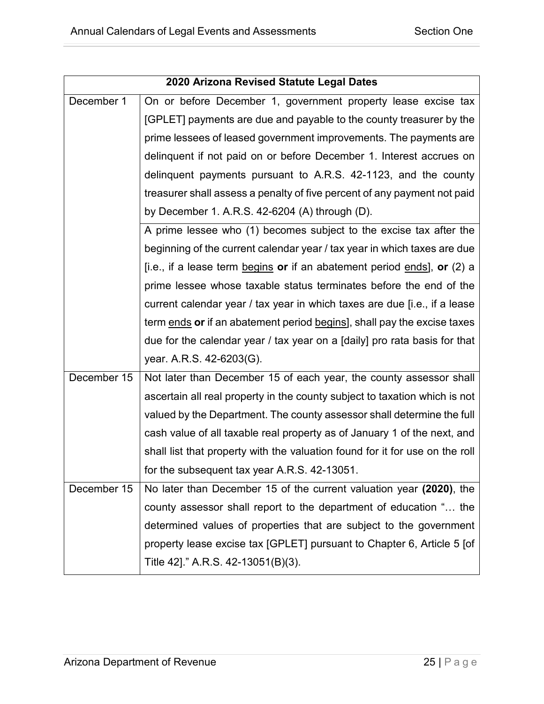| 2020 Arizona Revised Statute Legal Dates |                                                                              |
|------------------------------------------|------------------------------------------------------------------------------|
| December 1                               | On or before December 1, government property lease excise tax                |
|                                          | [GPLET] payments are due and payable to the county treasurer by the          |
|                                          | prime lessees of leased government improvements. The payments are            |
|                                          | delinquent if not paid on or before December 1. Interest accrues on          |
|                                          | delinguent payments pursuant to A.R.S. 42-1123, and the county               |
|                                          | treasurer shall assess a penalty of five percent of any payment not paid     |
|                                          | by December 1. A.R.S. $42-6204$ (A) through (D).                             |
|                                          | A prime lessee who (1) becomes subject to the excise tax after the           |
|                                          | beginning of the current calendar year / tax year in which taxes are due     |
|                                          | [i.e., if a lease term begins or if an abatement period ends], or $(2)$ a    |
|                                          | prime lessee whose taxable status terminates before the end of the           |
|                                          | current calendar year / tax year in which taxes are due [i.e., if a lease    |
|                                          | term ends or if an abatement period begins], shall pay the excise taxes      |
|                                          | due for the calendar year / tax year on a [daily] pro rata basis for that    |
|                                          | year. A.R.S. 42-6203(G).                                                     |
| December 15                              | Not later than December 15 of each year, the county assessor shall           |
|                                          | ascertain all real property in the county subject to taxation which is not   |
|                                          | valued by the Department. The county assessor shall determine the full       |
|                                          | cash value of all taxable real property as of January 1 of the next, and     |
|                                          | shall list that property with the valuation found for it for use on the roll |
|                                          | for the subsequent tax year A.R.S. 42-13051.                                 |
| December 15                              | No later than December 15 of the current valuation year (2020), the          |
|                                          | county assessor shall report to the department of education " the            |
|                                          | determined values of properties that are subject to the government           |
|                                          | property lease excise tax [GPLET] pursuant to Chapter 6, Article 5 [of       |
|                                          | Title 42]." A.R.S. 42-13051(B)(3).                                           |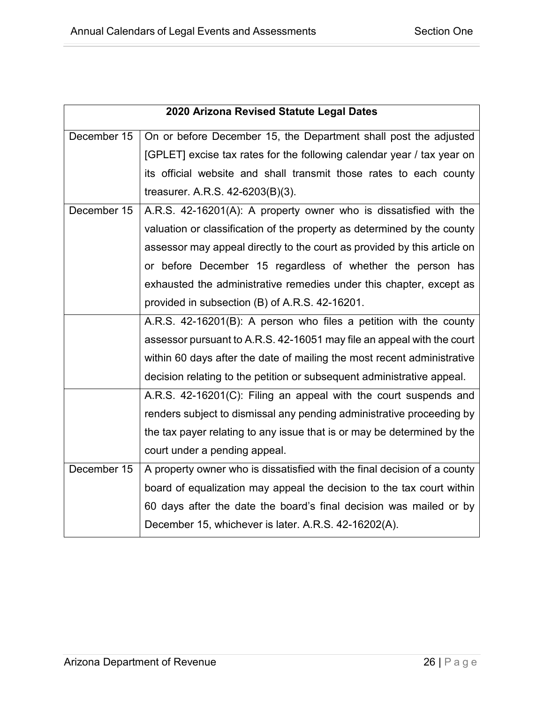| 2020 Arizona Revised Statute Legal Dates |                                                                          |
|------------------------------------------|--------------------------------------------------------------------------|
| December 15                              | On or before December 15, the Department shall post the adjusted         |
|                                          | [GPLET] excise tax rates for the following calendar year / tax year on   |
|                                          | its official website and shall transmit those rates to each county       |
|                                          | treasurer. A.R.S. $42-6203(B)(3)$ .                                      |
| December 15                              | A.R.S. 42-16201(A): A property owner who is dissatisfied with the        |
|                                          | valuation or classification of the property as determined by the county  |
|                                          | assessor may appeal directly to the court as provided by this article on |
|                                          | or before December 15 regardless of whether the person has               |
|                                          | exhausted the administrative remedies under this chapter, except as      |
|                                          | provided in subsection (B) of A.R.S. 42-16201.                           |
|                                          | A.R.S. 42-16201(B): A person who files a petition with the county        |
|                                          | assessor pursuant to A.R.S. 42-16051 may file an appeal with the court   |
|                                          | within 60 days after the date of mailing the most recent administrative  |
|                                          | decision relating to the petition or subsequent administrative appeal.   |
|                                          | A.R.S. 42-16201(C): Filing an appeal with the court suspends and         |
|                                          | renders subject to dismissal any pending administrative proceeding by    |
|                                          | the tax payer relating to any issue that is or may be determined by the  |
|                                          | court under a pending appeal.                                            |
| December 15                              | A property owner who is dissatisfied with the final decision of a county |
|                                          | board of equalization may appeal the decision to the tax court within    |
|                                          | 60 days after the date the board's final decision was mailed or by       |
|                                          | December 15, whichever is later. A.R.S. 42-16202(A).                     |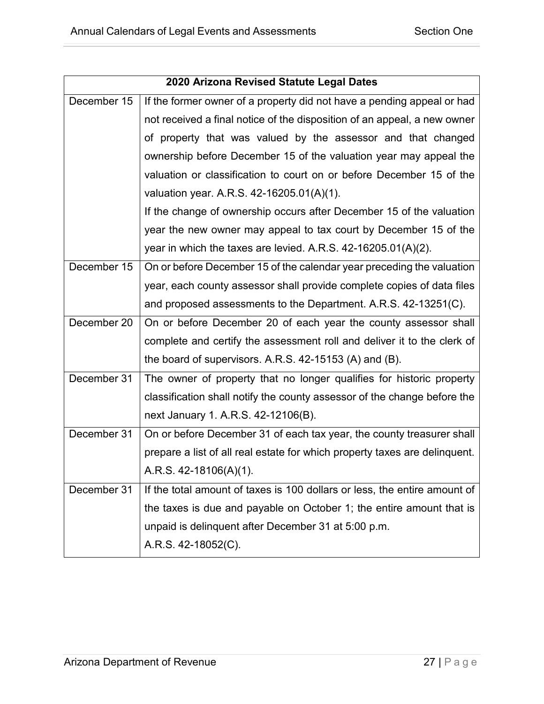| 2020 Arizona Revised Statute Legal Dates |                                                                            |
|------------------------------------------|----------------------------------------------------------------------------|
| December 15                              | If the former owner of a property did not have a pending appeal or had     |
|                                          | not received a final notice of the disposition of an appeal, a new owner   |
|                                          | of property that was valued by the assessor and that changed               |
|                                          | ownership before December 15 of the valuation year may appeal the          |
|                                          | valuation or classification to court on or before December 15 of the       |
|                                          | valuation year. A.R.S. 42-16205.01(A)(1).                                  |
|                                          | If the change of ownership occurs after December 15 of the valuation       |
|                                          | year the new owner may appeal to tax court by December 15 of the           |
|                                          | year in which the taxes are levied. A.R.S. 42-16205.01(A)(2).              |
| December 15                              | On or before December 15 of the calendar year preceding the valuation      |
|                                          | year, each county assessor shall provide complete copies of data files     |
|                                          | and proposed assessments to the Department. A.R.S. 42-13251(C).            |
| December 20                              | On or before December 20 of each year the county assessor shall            |
|                                          | complete and certify the assessment roll and deliver it to the clerk of    |
|                                          | the board of supervisors. A.R.S. 42-15153 (A) and (B).                     |
| December 31                              | The owner of property that no longer qualifies for historic property       |
|                                          | classification shall notify the county assessor of the change before the   |
|                                          | next January 1. A.R.S. 42-12106(B).                                        |
| December 31                              | On or before December 31 of each tax year, the county treasurer shall      |
|                                          | prepare a list of all real estate for which property taxes are delinquent. |
|                                          | A.R.S. 42-18106(A)(1).                                                     |
| December 31                              | If the total amount of taxes is 100 dollars or less, the entire amount of  |
|                                          | the taxes is due and payable on October 1; the entire amount that is       |
|                                          | unpaid is delinquent after December 31 at 5:00 p.m.                        |
|                                          | A.R.S. 42-18052(C).                                                        |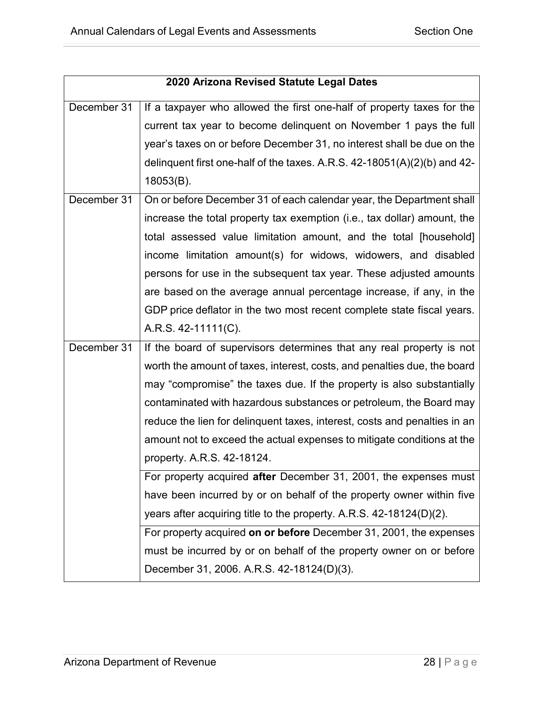| 2020 Arizona Revised Statute Legal Dates |                                                                              |
|------------------------------------------|------------------------------------------------------------------------------|
| December 31                              | If a taxpayer who allowed the first one-half of property taxes for the       |
|                                          | current tax year to become delinquent on November 1 pays the full            |
|                                          | year's taxes on or before December 31, no interest shall be due on the       |
|                                          | delinquent first one-half of the taxes. A.R.S. $42-18051(A)(2)(b)$ and $42-$ |
|                                          | $18053(B)$ .                                                                 |
| December 31                              | On or before December 31 of each calendar year, the Department shall         |
|                                          | increase the total property tax exemption (i.e., tax dollar) amount, the     |
|                                          | total assessed value limitation amount, and the total [household]            |
|                                          | income limitation amount(s) for widows, widowers, and disabled               |
|                                          | persons for use in the subsequent tax year. These adjusted amounts           |
|                                          | are based on the average annual percentage increase, if any, in the          |
|                                          | GDP price deflator in the two most recent complete state fiscal years.       |
|                                          | A.R.S. 42-11111(C).                                                          |
| December 31                              | If the board of supervisors determines that any real property is not         |
|                                          | worth the amount of taxes, interest, costs, and penalties due, the board     |
|                                          | may "compromise" the taxes due. If the property is also substantially        |
|                                          | contaminated with hazardous substances or petroleum, the Board may           |
|                                          | reduce the lien for delinquent taxes, interest, costs and penalties in an    |
|                                          | amount not to exceed the actual expenses to mitigate conditions at the       |
|                                          | property. A.R.S. 42-18124.                                                   |
|                                          | For property acquired after December 31, 2001, the expenses must             |
|                                          | have been incurred by or on behalf of the property owner within five         |
|                                          | years after acquiring title to the property. A.R.S. $42-18124(D)(2)$ .       |
|                                          | For property acquired on or before December 31, 2001, the expenses           |
|                                          | must be incurred by or on behalf of the property owner on or before          |
|                                          | December 31, 2006. A.R.S. 42-18124(D)(3).                                    |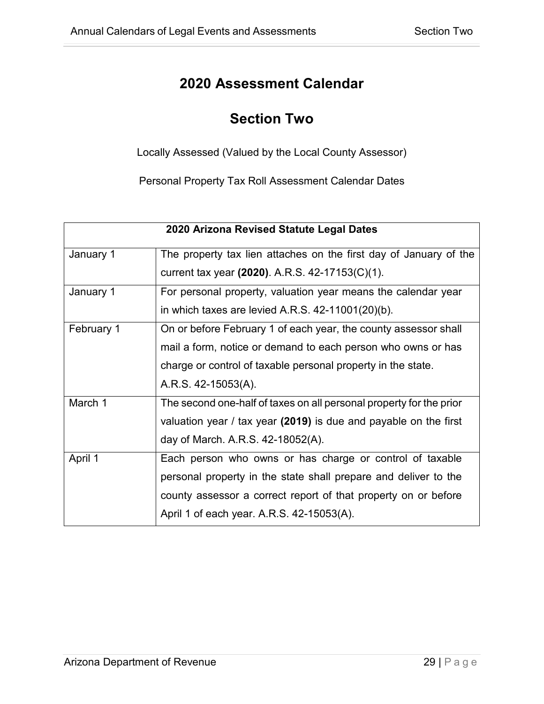#### **Section Two**

<span id="page-32-0"></span>Locally Assessed (Valued by the Local County Assessor)

Personal Property Tax Roll Assessment Calendar Dates

<span id="page-32-1"></span>

| 2020 Arizona Revised Statute Legal Dates |                                                                     |
|------------------------------------------|---------------------------------------------------------------------|
| January 1                                | The property tax lien attaches on the first day of January of the   |
|                                          | current tax year (2020). A.R.S. 42-17153(C)(1).                     |
| January 1                                | For personal property, valuation year means the calendar year       |
|                                          | in which taxes are levied A.R.S. $42-11001(20)(b)$ .                |
| February 1                               | On or before February 1 of each year, the county assessor shall     |
|                                          | mail a form, notice or demand to each person who owns or has        |
|                                          | charge or control of taxable personal property in the state.        |
|                                          | A.R.S. 42-15053(A).                                                 |
| March 1                                  | The second one-half of taxes on all personal property for the prior |
|                                          | valuation year / tax year $(2019)$ is due and payable on the first  |
|                                          | day of March. A.R.S. 42-18052(A).                                   |
| April 1                                  | Each person who owns or has charge or control of taxable            |
|                                          | personal property in the state shall prepare and deliver to the     |
|                                          | county assessor a correct report of that property on or before      |
|                                          | April 1 of each year. A.R.S. 42-15053(A).                           |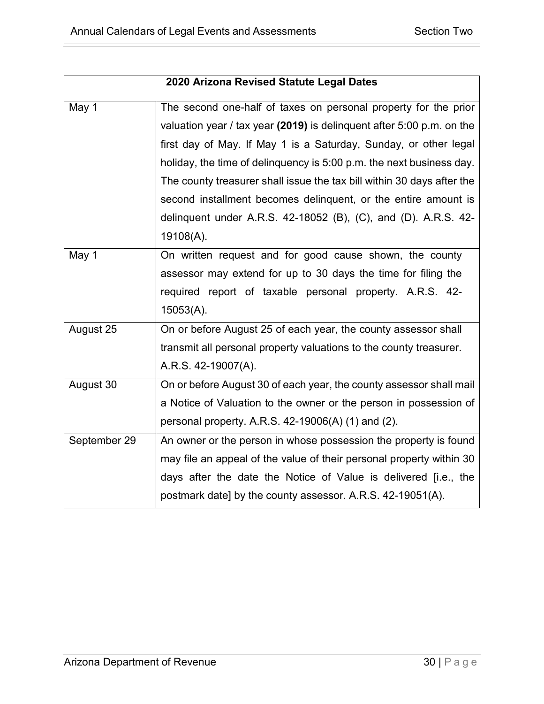|              | 2020 Arizona Revised Statute Legal Dates                                |  |
|--------------|-------------------------------------------------------------------------|--|
| May 1        | The second one-half of taxes on personal property for the prior         |  |
|              | valuation year / tax year (2019) is delinguent after $5:00$ p.m. on the |  |
|              | first day of May. If May 1 is a Saturday, Sunday, or other legal        |  |
|              | holiday, the time of delinguency is 5:00 p.m. the next business day.    |  |
|              | The county treasurer shall issue the tax bill within 30 days after the  |  |
|              | second installment becomes delinquent, or the entire amount is          |  |
|              | delinquent under A.R.S. 42-18052 (B), (C), and (D). A.R.S. 42-          |  |
|              | 19108(A).                                                               |  |
| May 1        | On written request and for good cause shown, the county                 |  |
|              | assessor may extend for up to 30 days the time for filing the           |  |
|              | required report of taxable personal property. A.R.S. 42-                |  |
|              | 15053(A).                                                               |  |
| August 25    | On or before August 25 of each year, the county assessor shall          |  |
|              | transmit all personal property valuations to the county treasurer.      |  |
|              | A.R.S. 42-19007(A).                                                     |  |
| August 30    | On or before August 30 of each year, the county assessor shall mail     |  |
|              | a Notice of Valuation to the owner or the person in possession of       |  |
|              | personal property. A.R.S. $42-19006(A)$ (1) and (2).                    |  |
| September 29 | An owner or the person in whose possession the property is found        |  |
|              | may file an appeal of the value of their personal property within 30    |  |
|              | days after the date the Notice of Value is delivered [i.e., the         |  |
|              | postmark date] by the county assessor. A.R.S. 42-19051(A).              |  |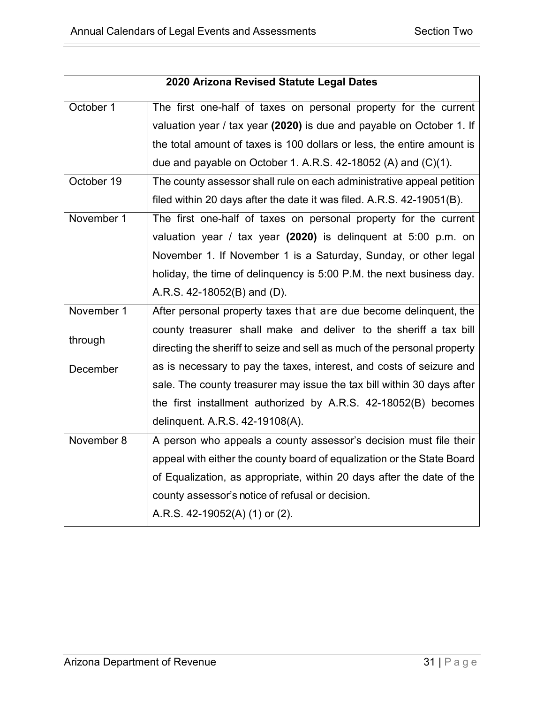|            | 2020 Arizona Revised Statute Legal Dates                                 |
|------------|--------------------------------------------------------------------------|
|            |                                                                          |
| October 1  | The first one-half of taxes on personal property for the current         |
|            | valuation year / tax year (2020) is due and payable on October 1. If     |
|            | the total amount of taxes is 100 dollars or less, the entire amount is   |
|            | due and payable on October 1. A.R.S. 42-18052 (A) and $(C)(1)$ .         |
| October 19 | The county assessor shall rule on each administrative appeal petition    |
|            | filed within 20 days after the date it was filed. A.R.S. 42-19051(B).    |
| November 1 | The first one-half of taxes on personal property for the current         |
|            | valuation year / tax year $(2020)$ is delinquent at 5:00 p.m. on         |
|            | November 1. If November 1 is a Saturday, Sunday, or other legal          |
|            | holiday, the time of delinquency is 5:00 P.M. the next business day.     |
|            | A.R.S. $42-18052(B)$ and $(D)$ .                                         |
| November 1 | After personal property taxes that are due become delinguent, the        |
|            | county treasurer shall make and deliver to the sheriff a tax bill        |
| through    | directing the sheriff to seize and sell as much of the personal property |
| December   | as is necessary to pay the taxes, interest, and costs of seizure and     |
|            | sale. The county treasurer may issue the tax bill within 30 days after   |
|            | the first installment authorized by A.R.S. 42-18052(B) becomes           |
|            | delinquent. A.R.S. 42-19108(A).                                          |
| November 8 | A person who appeals a county assessor's decision must file their        |
|            | appeal with either the county board of equalization or the State Board   |
|            | of Equalization, as appropriate, within 20 days after the date of the    |
|            | county assessor's notice of refusal or decision.                         |
|            | A.R.S. 42-19052(A) (1) or (2).                                           |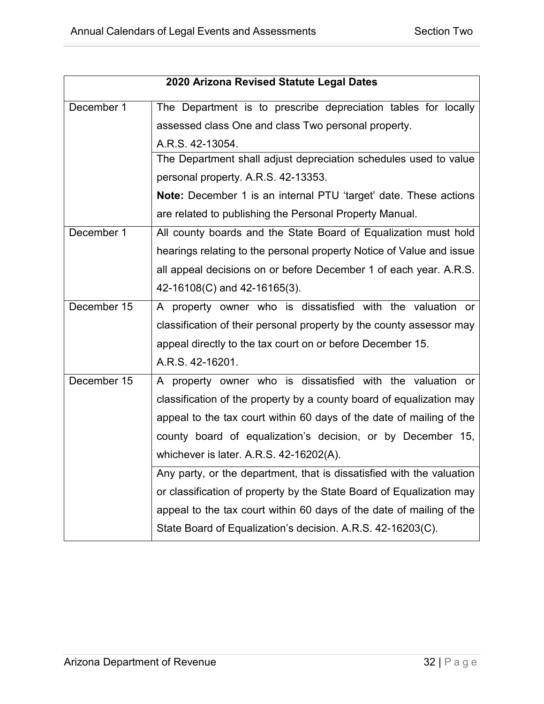|             | 2020 Arizona Revised Statute Legal Dates                                |  |
|-------------|-------------------------------------------------------------------------|--|
| December 1  | The Department is to prescribe depreciation tables for locally          |  |
|             | assessed class One and class Two personal property.                     |  |
|             | A.R.S. 42-13054.                                                        |  |
|             | The Department shall adjust depreciation schedules used to value        |  |
|             | personal property. A.R.S. 42-13353.                                     |  |
|             | <b>Note:</b> December 1 is an internal PTU 'target' date. These actions |  |
|             | are related to publishing the Personal Property Manual.                 |  |
| December 1  | All county boards and the State Board of Equalization must hold         |  |
|             | hearings relating to the personal property Notice of Value and issue    |  |
|             | all appeal decisions on or before December 1 of each year. A.R.S.       |  |
|             | 42-16108(C) and 42-16165(3).                                            |  |
| December 15 | A property owner who is dissatisfied with the valuation or              |  |
|             | classification of their personal property by the county assessor may    |  |
|             | appeal directly to the tax court on or before December 15.              |  |
|             | A.R.S. 42-16201.                                                        |  |
| December 15 | A property owner who is dissatisfied with the valuation or              |  |
|             | classification of the property by a county board of equalization may    |  |
|             | appeal to the tax court within 60 days of the date of mailing of the    |  |
|             | county board of equalization's decision, or by December 15,             |  |
|             | whichever is later. A.R.S. 42-16202(A).                                 |  |
|             | Any party, or the department, that is dissatisfied with the valuation   |  |
|             | or classification of property by the State Board of Equalization may    |  |
|             | appeal to the tax court within 60 days of the date of mailing of the    |  |
|             | State Board of Equalization's decision. A.R.S. 42-16203(C).             |  |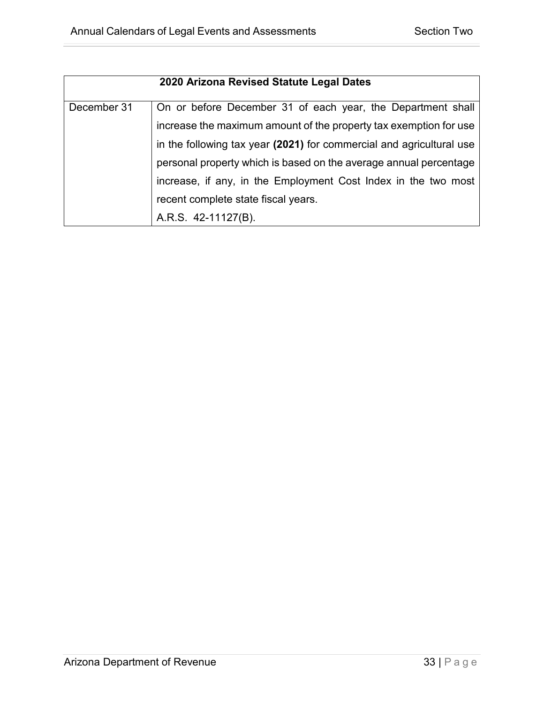|             | 2020 Arizona Revised Statute Legal Dates                             |
|-------------|----------------------------------------------------------------------|
| December 31 | On or before December 31 of each year, the Department shall          |
|             | increase the maximum amount of the property tax exemption for use    |
|             | in the following tax year (2021) for commercial and agricultural use |
|             | personal property which is based on the average annual percentage    |
|             | increase, if any, in the Employment Cost Index in the two most       |
|             | recent complete state fiscal years.                                  |
|             | A.R.S. 42-11127(B).                                                  |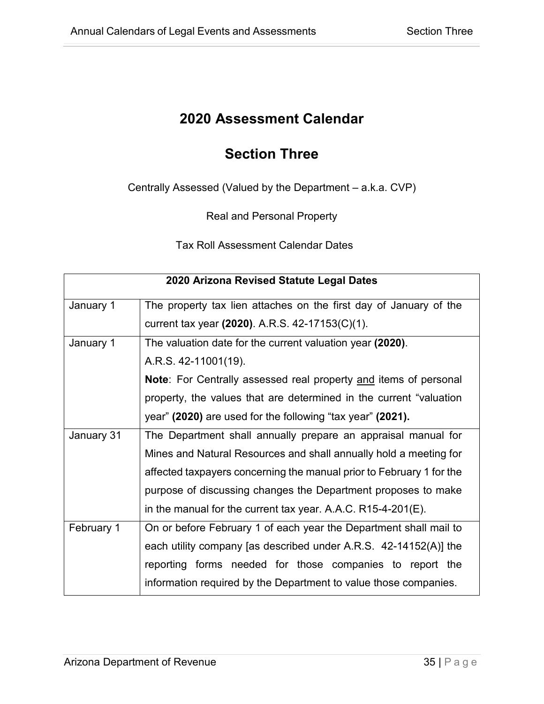#### **Section Three**

<span id="page-38-1"></span><span id="page-38-0"></span>Centrally Assessed (Valued by the Department – a.k.a. CVP)

Real and Personal Property

Tax Roll Assessment Calendar Dates

|            | 2020 Arizona Revised Statute Legal Dates                                |  |
|------------|-------------------------------------------------------------------------|--|
| January 1  | The property tax lien attaches on the first day of January of the       |  |
|            | current tax year (2020). A.R.S. 42-17153(C)(1).                         |  |
| January 1  | The valuation date for the current valuation year (2020).               |  |
|            | A.R.S. 42-11001(19).                                                    |  |
|            | <b>Note:</b> For Centrally assessed real property and items of personal |  |
|            | property, the values that are determined in the current "valuation      |  |
|            | year" (2020) are used for the following "tax year" (2021).              |  |
| January 31 | The Department shall annually prepare an appraisal manual for           |  |
|            | Mines and Natural Resources and shall annually hold a meeting for       |  |
|            | affected taxpayers concerning the manual prior to February 1 for the    |  |
|            | purpose of discussing changes the Department proposes to make           |  |
|            | in the manual for the current tax year. A.A.C. $R15-4-201(E)$ .         |  |
| February 1 | On or before February 1 of each year the Department shall mail to       |  |
|            | each utility company [as described under A.R.S. 42-14152(A)] the        |  |
|            | reporting forms needed for those companies to report the                |  |
|            | information required by the Department to value those companies.        |  |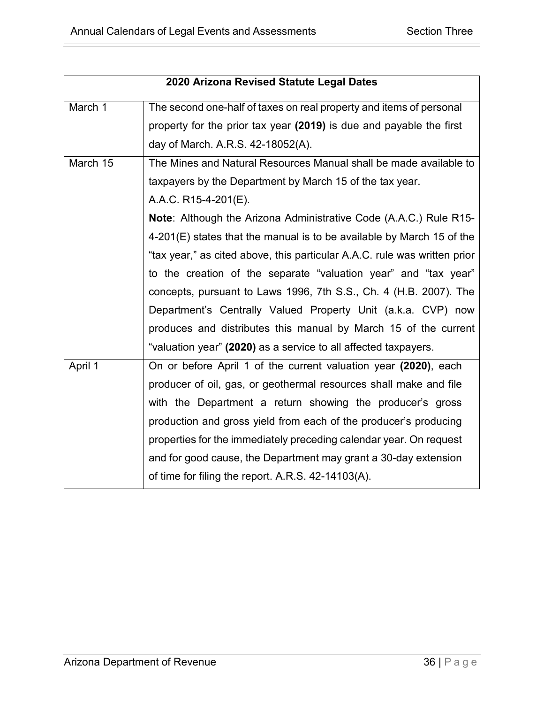| 2020 Arizona Revised Statute Legal Dates |                                                                           |
|------------------------------------------|---------------------------------------------------------------------------|
| March 1                                  | The second one-half of taxes on real property and items of personal       |
|                                          | property for the prior tax year (2019) is due and payable the first       |
|                                          | day of March. A.R.S. 42-18052(A).                                         |
| March 15                                 | The Mines and Natural Resources Manual shall be made available to         |
|                                          | taxpayers by the Department by March 15 of the tax year.                  |
|                                          | A.A.C. R15-4-201(E).                                                      |
|                                          | <b>Note:</b> Although the Arizona Administrative Code (A.A.C.) Rule R15-  |
|                                          | $4-201(E)$ states that the manual is to be available by March 15 of the   |
|                                          | "tax year," as cited above, this particular A.A.C. rule was written prior |
|                                          | to the creation of the separate "valuation year" and "tax year"           |
|                                          | concepts, pursuant to Laws 1996, 7th S.S., Ch. 4 (H.B. 2007). The         |
|                                          | Department's Centrally Valued Property Unit (a.k.a. CVP) now              |
|                                          | produces and distributes this manual by March 15 of the current           |
|                                          | "valuation year" (2020) as a service to all affected taxpayers.           |
| April 1                                  | On or before April 1 of the current valuation year (2020), each           |
|                                          | producer of oil, gas, or geothermal resources shall make and file         |
|                                          | with the Department a return showing the producer's gross                 |
|                                          | production and gross yield from each of the producer's producing          |
|                                          | properties for the immediately preceding calendar year. On request        |
|                                          | and for good cause, the Department may grant a 30-day extension           |
|                                          | of time for filing the report. A.R.S. 42-14103(A).                        |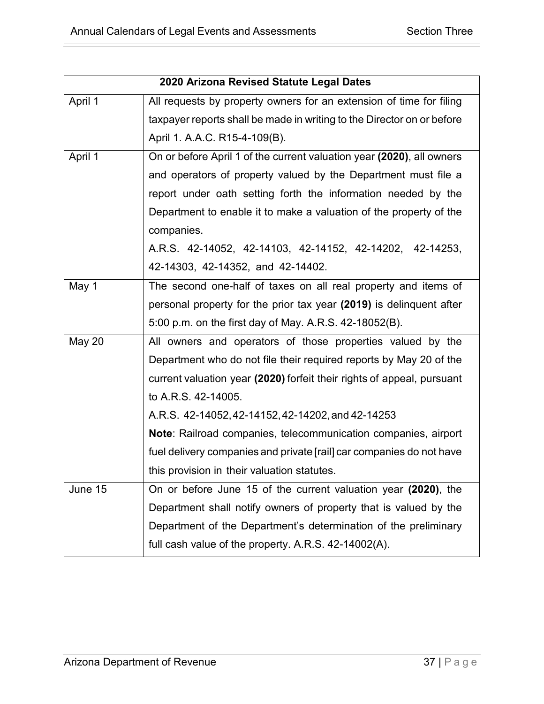|               | 2020 Arizona Revised Statute Legal Dates                               |  |
|---------------|------------------------------------------------------------------------|--|
| April 1       | All requests by property owners for an extension of time for filing    |  |
|               | taxpayer reports shall be made in writing to the Director on or before |  |
|               | April 1. A.A.C. R15-4-109(B).                                          |  |
| April 1       | On or before April 1 of the current valuation year (2020), all owners  |  |
|               | and operators of property valued by the Department must file a         |  |
|               | report under oath setting forth the information needed by the          |  |
|               | Department to enable it to make a valuation of the property of the     |  |
|               | companies.                                                             |  |
|               | A.R.S. 42-14052, 42-14103, 42-14152, 42-14202, 42-14253,               |  |
|               | 42-14303, 42-14352, and 42-14402.                                      |  |
| May 1         | The second one-half of taxes on all real property and items of         |  |
|               | personal property for the prior tax year (2019) is delinquent after    |  |
|               | 5:00 p.m. on the first day of May. A.R.S. 42-18052(B).                 |  |
| <b>May 20</b> | All owners and operators of those properties valued by the             |  |
|               | Department who do not file their required reports by May 20 of the     |  |
|               | current valuation year (2020) forfeit their rights of appeal, pursuant |  |
|               | to A.R.S. 42-14005.                                                    |  |
|               | A.R.S. 42-14052, 42-14152, 42-14202, and 42-14253                      |  |
|               | Note: Railroad companies, telecommunication companies, airport         |  |
|               | fuel delivery companies and private [rail] car companies do not have   |  |
|               | this provision in their valuation statutes.                            |  |
| June 15       | On or before June 15 of the current valuation year (2020), the         |  |
|               | Department shall notify owners of property that is valued by the       |  |
|               | Department of the Department's determination of the preliminary        |  |
|               | full cash value of the property. A.R.S. 42-14002(A).                   |  |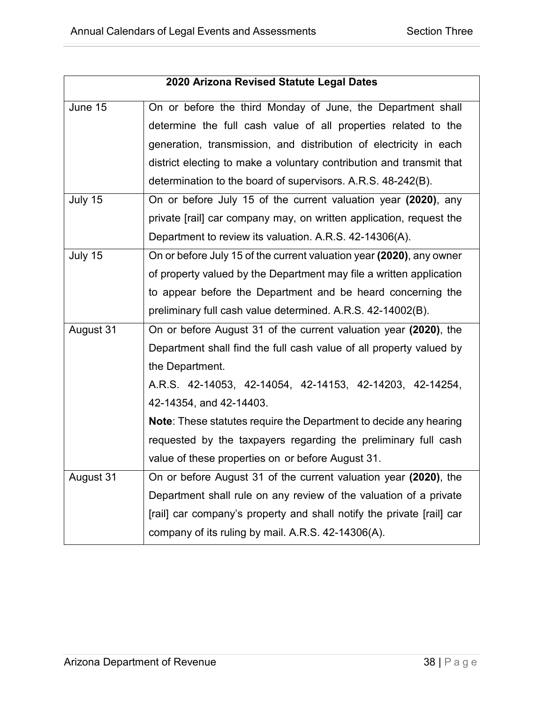| On or before the third Monday of June, the Department shall              |
|--------------------------------------------------------------------------|
|                                                                          |
| determine the full cash value of all properties related to the           |
| generation, transmission, and distribution of electricity in each        |
| district electing to make a voluntary contribution and transmit that     |
|                                                                          |
| On or before July 15 of the current valuation year (2020), any           |
| private [rail] car company may, on written application, request the      |
|                                                                          |
| On or before July 15 of the current valuation year (2020), any owner     |
| of property valued by the Department may file a written application      |
| to appear before the Department and be heard concerning the              |
|                                                                          |
| On or before August 31 of the current valuation year (2020), the         |
| Department shall find the full cash value of all property valued by      |
|                                                                          |
| A.R.S. 42-14053, 42-14054, 42-14153, 42-14203, 42-14254,                 |
|                                                                          |
| <b>Note:</b> These statutes require the Department to decide any hearing |
| requested by the taxpayers regarding the preliminary full cash           |
|                                                                          |
| On or before August 31 of the current valuation year (2020), the         |
| Department shall rule on any review of the valuation of a private        |
| [rail] car company's property and shall notify the private [rail] car    |
|                                                                          |
|                                                                          |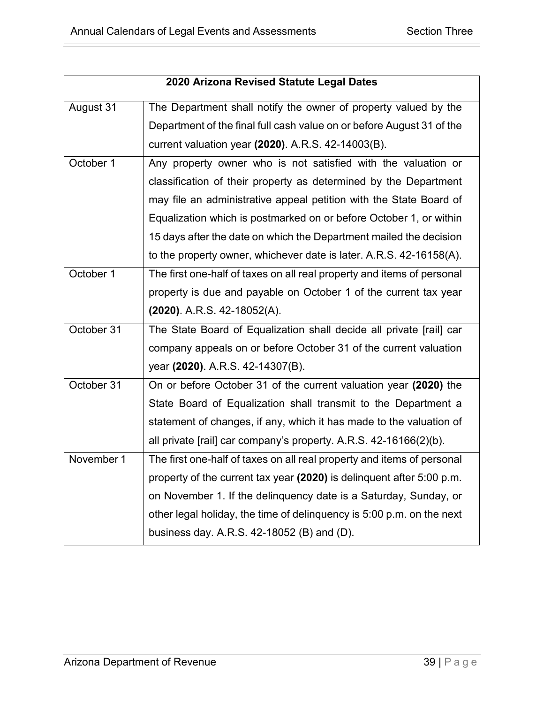|            | 2020 Arizona Revised Statute Legal Dates                               |  |
|------------|------------------------------------------------------------------------|--|
| August 31  | The Department shall notify the owner of property valued by the        |  |
|            | Department of the final full cash value on or before August 31 of the  |  |
|            | current valuation year (2020). A.R.S. 42-14003(B).                     |  |
| October 1  | Any property owner who is not satisfied with the valuation or          |  |
|            | classification of their property as determined by the Department       |  |
|            | may file an administrative appeal petition with the State Board of     |  |
|            | Equalization which is postmarked on or before October 1, or within     |  |
|            | 15 days after the date on which the Department mailed the decision     |  |
|            | to the property owner, whichever date is later. A.R.S. 42-16158(A).    |  |
| October 1  | The first one-half of taxes on all real property and items of personal |  |
|            | property is due and payable on October 1 of the current tax year       |  |
|            | (2020). A.R.S. 42-18052(A).                                            |  |
| October 31 | The State Board of Equalization shall decide all private [rail] car    |  |
|            | company appeals on or before October 31 of the current valuation       |  |
|            | year (2020). A.R.S. 42-14307(B).                                       |  |
| October 31 | On or before October 31 of the current valuation year (2020) the       |  |
|            | State Board of Equalization shall transmit to the Department a         |  |
|            | statement of changes, if any, which it has made to the valuation of    |  |
|            | all private [rail] car company's property. A.R.S. 42-16166(2)(b).      |  |
| November 1 | The first one-half of taxes on all real property and items of personal |  |
|            | property of the current tax year (2020) is delinquent after 5:00 p.m.  |  |
|            | on November 1. If the delinquency date is a Saturday, Sunday, or       |  |
|            | other legal holiday, the time of delinguency is 5:00 p.m. on the next  |  |
|            | business day. A.R.S. 42-18052 (B) and (D).                             |  |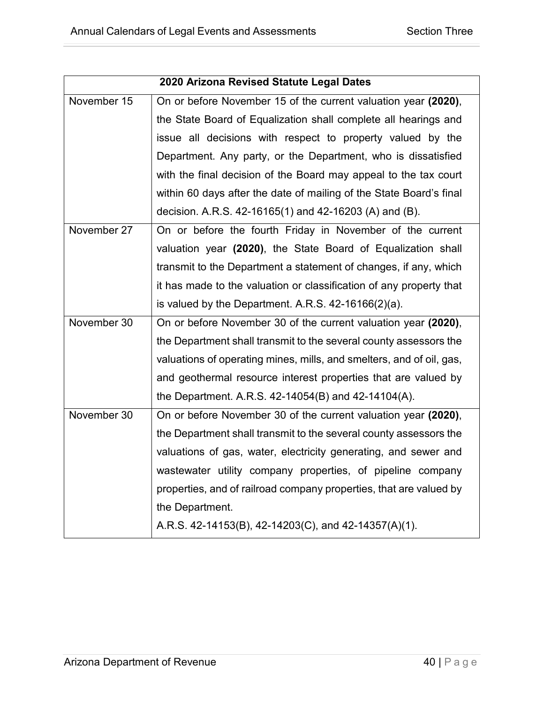| 2020 Arizona Revised Statute Legal Dates |                                                                      |
|------------------------------------------|----------------------------------------------------------------------|
| November 15                              | On or before November 15 of the current valuation year (2020),       |
|                                          | the State Board of Equalization shall complete all hearings and      |
|                                          | issue all decisions with respect to property valued by the           |
|                                          | Department. Any party, or the Department, who is dissatisfied        |
|                                          | with the final decision of the Board may appeal to the tax court     |
|                                          | within 60 days after the date of mailing of the State Board's final  |
|                                          | decision. A.R.S. 42-16165(1) and 42-16203 (A) and (B).               |
| November 27                              | On or before the fourth Friday in November of the current            |
|                                          | valuation year (2020), the State Board of Equalization shall         |
|                                          | transmit to the Department a statement of changes, if any, which     |
|                                          | it has made to the valuation or classification of any property that  |
|                                          | is valued by the Department. A.R.S. $42-16166(2)(a)$ .               |
| November 30                              | On or before November 30 of the current valuation year (2020),       |
|                                          | the Department shall transmit to the several county assessors the    |
|                                          | valuations of operating mines, mills, and smelters, and of oil, gas, |
|                                          | and geothermal resource interest properties that are valued by       |
|                                          | the Department. A.R.S. 42-14054(B) and 42-14104(A).                  |
| November 30                              | On or before November 30 of the current valuation year (2020),       |
|                                          | the Department shall transmit to the several county assessors the    |
|                                          | valuations of gas, water, electricity generating, and sewer and      |
|                                          | wastewater utility company properties, of pipeline company           |
|                                          | properties, and of railroad company properties, that are valued by   |
|                                          | the Department.                                                      |
|                                          | A.R.S. 42-14153(B), 42-14203(C), and 42-14357(A)(1).                 |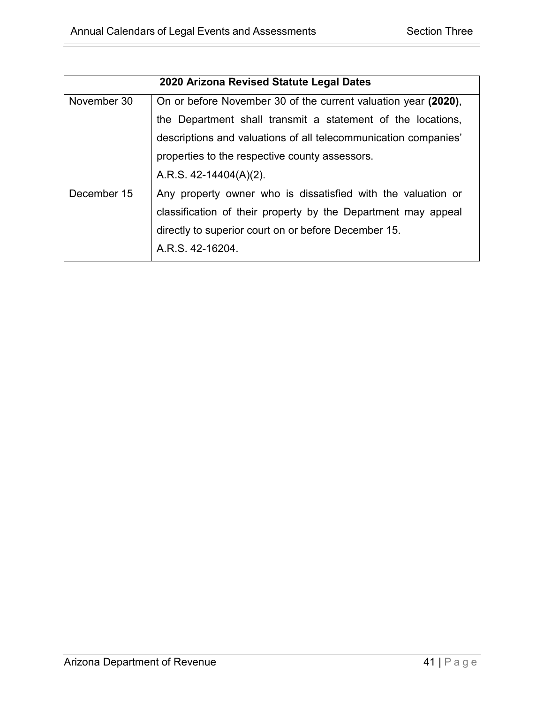| 2020 Arizona Revised Statute Legal Dates                        |  |
|-----------------------------------------------------------------|--|
| On or before November 30 of the current valuation year (2020),  |  |
| the Department shall transmit a statement of the locations,     |  |
| descriptions and valuations of all telecommunication companies' |  |
|                                                                 |  |
|                                                                 |  |
| Any property owner who is dissatisfied with the valuation or    |  |
| classification of their property by the Department may appeal   |  |
| directly to superior court on or before December 15.            |  |
|                                                                 |  |
|                                                                 |  |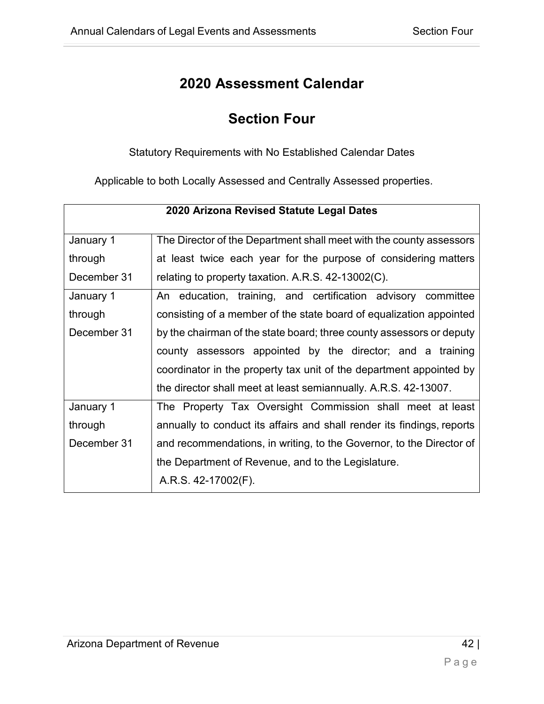## **Section Four**

Statutory Requirements with No Established Calendar Dates

<span id="page-45-1"></span><span id="page-45-0"></span>Applicable to both Locally Assessed and Centrally Assessed properties.

| 2020 Arizona Revised Statute Legal Dates |                                                                        |
|------------------------------------------|------------------------------------------------------------------------|
| January 1                                | The Director of the Department shall meet with the county assessors    |
| through                                  | at least twice each year for the purpose of considering matters        |
| December 31                              | relating to property taxation. A.R.S. $42-13002(C)$ .                  |
| January 1                                | An education, training, and certification advisory committee           |
| through                                  | consisting of a member of the state board of equalization appointed    |
| December 31                              | by the chairman of the state board; three county assessors or deputy   |
|                                          | county assessors appointed by the director; and a training             |
|                                          | coordinator in the property tax unit of the department appointed by    |
|                                          | the director shall meet at least semiannually. A.R.S. 42-13007.        |
| January 1                                | The Property Tax Oversight Commission shall meet at least              |
| through                                  | annually to conduct its affairs and shall render its findings, reports |
| December 31                              | and recommendations, in writing, to the Governor, to the Director of   |
|                                          | the Department of Revenue, and to the Legislature.                     |
|                                          | A.R.S. 42-17002(F).                                                    |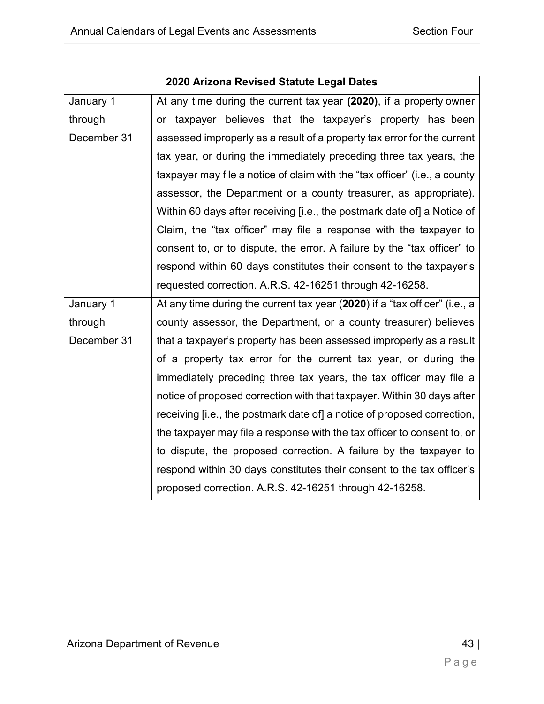| 2020 Arizona Revised Statute Legal Dates |                                                                            |
|------------------------------------------|----------------------------------------------------------------------------|
| January 1                                | At any time during the current tax year (2020), if a property owner        |
| through                                  | or taxpayer believes that the taxpayer's property has been                 |
| December 31                              | assessed improperly as a result of a property tax error for the current    |
|                                          | tax year, or during the immediately preceding three tax years, the         |
|                                          | taxpayer may file a notice of claim with the "tax officer" (i.e., a county |
|                                          | assessor, the Department or a county treasurer, as appropriate).           |
|                                          | Within 60 days after receiving [i.e., the postmark date of] a Notice of    |
|                                          | Claim, the "tax officer" may file a response with the taxpayer to          |
|                                          | consent to, or to dispute, the error. A failure by the "tax officer" to    |
|                                          | respond within 60 days constitutes their consent to the taxpayer's         |
|                                          | requested correction. A.R.S. 42-16251 through 42-16258.                    |
| January 1                                | At any time during the current tax year (2020) if a "tax officer" (i.e., a |
| through                                  | county assessor, the Department, or a county treasurer) believes           |
| December 31                              | that a taxpayer's property has been assessed improperly as a result        |
|                                          | of a property tax error for the current tax year, or during the            |
|                                          | immediately preceding three tax years, the tax officer may file a          |
|                                          | notice of proposed correction with that taxpayer. Within 30 days after     |
|                                          | receiving [i.e., the postmark date of] a notice of proposed correction,    |
|                                          | the taxpayer may file a response with the tax officer to consent to, or    |
|                                          | to dispute, the proposed correction. A failure by the taxpayer to          |
|                                          | respond within 30 days constitutes their consent to the tax officer's      |
|                                          | proposed correction. A.R.S. 42-16251 through 42-16258.                     |